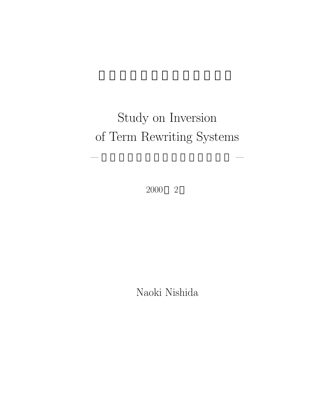# Study on Inversion of Term Rewriting Systems

— 項書換え系の逆計算に関する研究 —

2000 2

Naoki Nishida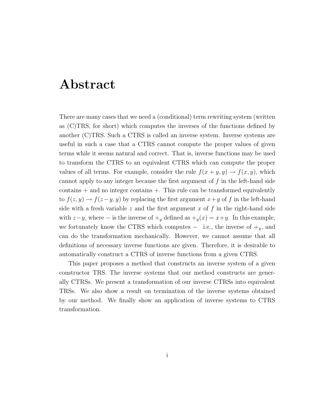### **Abstract**

There are many cases that we need a (conditional) term rewriting system (written as (C)TRS, for short) which computes the inverses of the functions defined by another (C)TRS. Such a CTRS is called an inverse system. Inverse systems are useful in such a case that a CTRS cannot compute the proper values of given terms while it seems natural and correct. That is, inverse functions may be used to transform the CTRS to an equivalent CTRS which can compute the proper values of all terms. For example, consider the rule  $f(x + y, y) \rightarrow f(x, y)$ , which cannot apply to any integer because the first argument of f in the left-hand side  $\text{contains} + \text{and no integer contains} +$ . This rule can be transformed equivalently to  $f(z, y) \rightarrow f(z-y, y)$  by replacing the first argument  $x+y$  of f in the left-hand side with a fresh variable  $z$  and the first argument  $x$  of  $f$  in the right-hand side with  $z-y$ , where – is the inverse of  $+$ <sub>y</sub> defined as  $+$ <sub>y</sub> $(x) = x+y$ . In this example, we fortunately know the CTRS which computes  $-$  i.e., the inverse of  $+_{y}$ , and can do the transformation mechanically. However, we cannot assume that all definitions of necessary inverse functions are given. Therefore, it is desirable to automatically construct a CTRS of inverse functions from a given CTRS.

This paper proposes a method that constructs an inverse system of a given constructor TRS. The inverse systems that our method constructs are generally CTRSs. We present a transformation of our inverse CTRSs into equivalent TRSs. We also show a result on termination of the inverse systems obtained by our method. We finally show an application of inverse systems to CTRS transformation.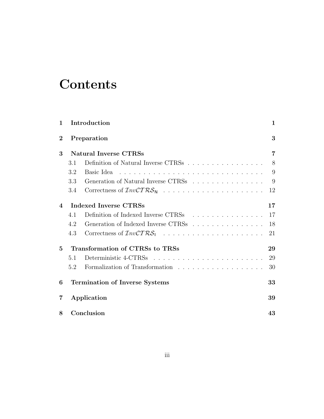# **Contents**

| $\mathbf{1}$            |                                       | Introduction                        | 1              |
|-------------------------|---------------------------------------|-------------------------------------|----------------|
| $\bf{2}$<br>Preparation |                                       |                                     | 3              |
| 3                       | <b>Natural Inverse CTRSs</b>          |                                     | $\overline{7}$ |
|                         | 3.1                                   | Definition of Natural Inverse CTRSs | 8              |
|                         | 3.2                                   | Basic Idea                          | 9              |
|                         | 3.3                                   | Generation of Natural Inverse CTRSs | 9              |
|                         | 3.4                                   | Correctness of $InvCTRS_N$          | 12             |
| $\boldsymbol{\Lambda}$  | Indexed Inverse CTRSs                 |                                     | 17             |
|                         | 4.1                                   | Definition of Indexed Inverse CTRSs | 17             |
|                         | 4.2                                   | Generation of Indexed Inverse CTRSs | 18             |
|                         | 4.3                                   |                                     | 21             |
| $5\overline{)}$         | Transformation of CTRSs to TRSs       |                                     | 29             |
|                         | 5.1                                   |                                     | 29             |
|                         | 5.2                                   |                                     | 30             |
| 6                       | <b>Termination of Inverse Systems</b> |                                     | 33             |
| $\overline{\mathbf{7}}$ | Application                           |                                     | 39             |
| 8                       | Conclusion                            |                                     | 43             |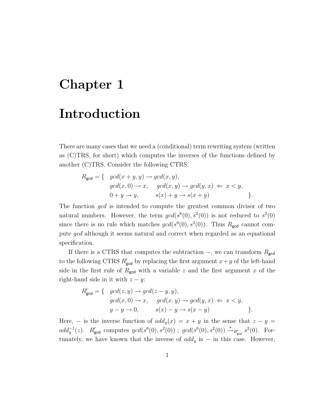### **Chapter 1**

### **Introduction**

There are many cases that we need a (conditional) term rewriting system (written as (C)TRS, for short) which computes the inverses of the functions defined by another (C)TRS. Consider the following CTRS:

$$
R_{\text{gcd}} = \{ \quad \gcd(x+y,y) \to \gcd(x,y),
$$
  
\n
$$
\gcd(x,0) \to x, \quad \gcd(x,y) \to \gcd(y,x) \iff x < y,
$$
  
\n
$$
0 + y \to y, \quad s(x) + y \to s(x+y)
$$
 \}

The function gcd is intended to compute the greatest common divisor of two natural numbers. However, the term  $gcd(s^6(0), s^2(0))$  is not reduced to  $s^2(0)$ since there is no rule which matches  $gcd(s^6(0), s^2(0))$ . Thus  $R_{gcd}$  cannot compute gcd although it seems natural and correct when regarded as an equational specification.

If there is a CTRS that computes the subtraction  $-$ , we can transform  $R_{\text{gcd}}$ to the following CTRS  $R'_{\text{gcd}}$  by replacing the first argument  $x+y$  of the left-hand side in the first rule of  $R_{\text{gcd}}$  with a variable z and the first argument x of the right-hand side in it with  $z - y$ :

$$
R'_{\text{gcd}} = \{ \quad \gcd(z, y) \to \gcd(z - y, y),
$$
  
\n
$$
\gcd(x, 0) \to x, \quad \gcd(x, y) \to \gcd(y, x) \iff x < y,
$$
  
\n
$$
y - y \to 0, \quad \quad s(x) - y \to s(x - y)
$$
 \}

Here, – is the inverse function of  $add_y(x) = x + y$  in the sense that  $z - y =$ add<sub>y</sub><sup>-1</sup>(z). R<sub>gcd</sub> computes gcd(s<sup>6</sup>(0), s<sup>2</sup>(0)); gcd(s<sup>6</sup>(0), s<sup>2</sup>(0))  $\stackrel{*}{\to}_{R'_{\text{gcd}}}$  s<sup>2</sup>(0). Fortunately, we have known that the inverse of  $add_y$  is  $-$  in this case. However,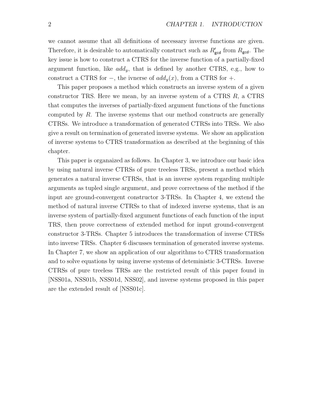we cannot assume that all definitions of necessary inverse functions are given. Therefore, it is desirable to automatically construct such as  $R'_{\text{gcd}}$  from  $R_{\text{gcd}}$ . The key issue is how to construct a CTRS for the inverse function of a partially-fixed argument function, like  $add_y$ , that is defined by another CTRS, e.g., how to construct a CTRS for  $-$ , the ivnerse of  $add_y(x)$ , from a CTRS for  $+$ .

This paper proposes a method which constructs an inverse system of a given constructor TRS. Here we mean, by an inverse system of a CTRS  $R$ , a CTRS that computes the inverses of partially-fixed argument functions of the functions computed by  $R$ . The inverse systems that our method constructs are generally CTRSs. We introduce a transformation of generated CTRSs into TRSs. We also give a result on termination of generated inverse systems. We show an application of inverse systems to CTRS transformation as described at the beginning of this chapter.

This paper is organaized as follows. In Chapter 3, we introduce our basic idea by using natural inverse CTRSs of pure treeless TRSs, present a method which generates a natural inverse CTRSs, that is an inverse system regarding multiple arguments as tupled single argument, and prove correctness of the method if the input are ground-convergent constructor 3-TRSs. In Chapter 4, we extend the method of natural inverse CTRSs to that of indexed inverse systems, that is an inverse system of partially-fixed argument functions of each function of the input TRS, then prove correctness of extended method for input ground-convergent constructor 3-TRSs. Chapter 5 introduces the transformation of inverse CTRSs into inverse TRSs. Chapter 6 discusses termination of generated inverse systems. In Chapter 7, we show an application of our algorithms to CTRS transformation and to solve equations by using inverse systems of deteministic 3-CTRSs. Inverse CTRSs of pure treeless TRSs are the restricted result of this paper found in [NSS01a, NSS01b, NSS01d, NSS02], and inverse systems proposed in this paper are the extended result of [NSS01c].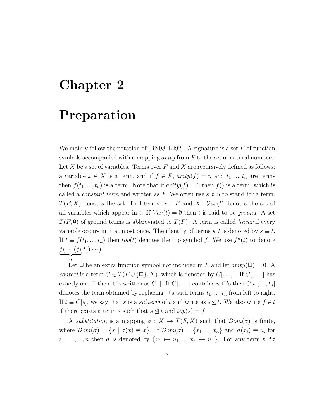### **Chapter 2**

### **Preparation**

We mainly follow the notation of [BN98, Kl92]. A signature is a set  $F$  of function symbols accompanied with a mapping  $arity$  from F to the set of natural numbers. Let  $X$  be a set of variables. Terms over  $F$  and  $X$  are recursively defined as follows: a variable  $x \in X$  is a term, and if  $f \in F$ ,  $arity(f) = n$  and  $t_1, ..., t_n$  are terms then  $f(t_1, ..., t_n)$  is a term. Note that if  $arity(f) = 0$  then  $f()$  is a term, which is called a *constant term* and written as  $f$ . We often use  $s, t, u$  to stand for a term.  $T(F, X)$  denotes the set of all terms over F and X.  $Var(t)$  denotes the set of all variables which appear in t. If  $Var(t) = \emptyset$  then t is said to be *ground*. A set  $T(F, \emptyset)$  of ground terms is abbreviated to  $T(F)$ . A term is called *linear* if every variable occurs in it at most once. The identity of terms s, t is denoted by  $s \equiv t$ . If  $t \equiv f(t_1, ..., t_n)$  then  $top(t)$  denotes the top symbol f. We use  $f^n(t)$  to denote  $f(\cdots(f(n$  $\overbrace{h}$  $t))\cdots$ ).

Let  $\Box$  be an extra function symbol not included in F and let  $arity(\Box) = 0$ . A *context* is a term  $C \in T(F \cup \{\square\}, X)$ , which is denoted by  $C[, ..., ]$ . If  $C[, ..., ]$  has exactly one  $\Box$  then it is written as  $C[$  ]. If  $C[$ , ..., ] contains  $n-\Box$ 's then  $C[t_1, ..., t_n]$ denotes the term obtained by replacing  $\Box$ 's with terms  $t_1, ..., t_n$  from left to right. If  $t \equiv C[s]$ , we say that s is a subterm of t and write as  $s \leq t$ . We also write  $f \in t$ if there exists a term s such that  $s \leq t$  and  $top(s) = f$ .

A *substitution* is a mapping  $\sigma : X \to T(F, X)$  such that  $\mathcal{D}om(\sigma)$  is finite, where  $\mathcal{D}om(\sigma) = \{x \mid \sigma(x) \neq x\}$ . If  $\mathcal{D}om(\sigma) = \{x_1, ..., x_n\}$  and  $\sigma(x_i) \equiv u_i$  for  $i = 1, ..., n$  then  $\sigma$  is denoted by  $\{x_1 \mapsto u_1, ..., x_n \mapsto u_n\}$ . For any term t, to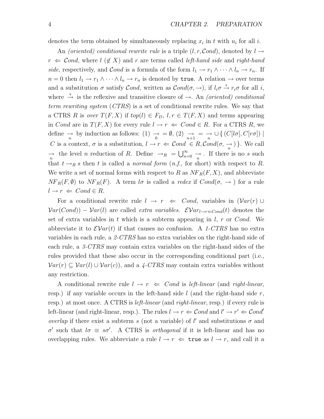denotes the term obtained by simultaneously replacing  $x_i$  in t with  $u_i$  for all i.

An *(oriented)* conditional rewrite rule is a triple  $(l, r, \mathcal{C}ond)$ , denoted by  $l \rightarrow$  $r \leftarrow$  Cond, where  $l \left( \notin X \right)$  and r are terms called *left-hand side* and right-hand *side*, respectively, and *Cond* is a formula of the form  $l_1 \rightarrow r_1 \land \cdots \land l_n \rightarrow r_n$ . If  $n = 0$  then  $l_1 \to r_1 \wedge \cdots \wedge l_n \to r_n$  is denoted by true. A relation  $\to$  over terms and a substitution  $\sigma$  satisfy Cond, written as  $Cond(\sigma, \rightarrow)$ , if  $l_i\sigma \stackrel{*}{\rightarrow} r_i\sigma$  for all i, where  $\stackrel{*}{\rightarrow}$  is the reflexive and transitive closure of  $\rightarrow$ . An *(oriented) conditional term rewriting system* (*CTRS*) is a set of conditional rewrite rules. We say that a CTRS R is *over*  $T(F, X)$  if  $top(l) \in F_D$ ,  $l, r \in T(F, X)$  and terms appearing in Cond are in  $T(F, X)$  for every rule  $l \to r \Leftrightarrow Cond \in R$ . For a CTRS R, we define  $\rightarrow$  by induction as follows: (1)  $\rightarrow$  =  $\emptyset$ , (2)  $\rightarrow$  =  $\rightarrow$   $\rightarrow$   $\cup$  { (C[lσ], C[rσ]) | C is a context,  $\sigma$  is a substitution,  $l \to r \Leftarrow Cond \in R, Cond(\sigma, \frac{\partial}{n})$ . We call  $\rightarrow$  the level *n* reduction of *R*. Define  $\rightarrow_R = \bigcup_{n=0}^{\infty} \rightarrow$ . If there is no *s* such that  $t \rightarrow_R s$  then t is called a *normal form*  $(n.f., \text{ for short})$  with respect to R. We write a set of normal forms with respect to R as  $NF_R(F, X)$ , and abbreviate  $N\!F_R(F,\emptyset)$  to  $N\!F_R(F)$ . A term  $l\sigma$  is called a *redex* if  $Cond(\sigma, \rightarrow)$  for a rule  $l \rightarrow r \Leftarrow Cond \in R$ .

For a conditional rewrite rule  $l \rightarrow r \Leftarrow Cond$ , variables in  $(\mathcal{V}ar(r) \cup$  $Var(Cond) - Var(l)$  are called *extra variables.*  $\mathcal{E}Var_{l \rightarrow r \leftarrow Cond}(t)$  denotes the set of extra variables in t which is a subterm appearing in  $l, r$  or Cond. We abbreviate it to  $\mathcal{E}Var(t)$  if that causes no confusion. A 1-CTRS has no extra variables in each rule, a *2-CTRS* has no extra variables on the right-hand side of each rule, a *3-CTRS* may contain extra variables on the right-hand sides of the rules provided that these also occur in the corresponding conditional part (i.e.,  $Var(r) \subseteq Var(l) \cup Var(c)$ , and a 4-CTRS may contain extra variables without any restriction.

A conditional rewrite rule  $l \rightarrow r \Leftarrow Cond$  is *left-linear* (and *right-linear*, resp.) if any variable occurs in the left-hand side  $l$  (and the right-hand side  $r$ , resp.) at most once. A CTRS is *left-linear* (and *right-linear*, resp.) if every rule is left-linear (and right-linear, resp.). The rules  $l \to r \Leftarrow \text{Cond}$  and  $l' \to r' \Leftarrow \text{Cond}'$ *overlap* if there exist a subterm s (not a variable) of  $l'$  and substitutions  $\sigma$  and  $\sigma'$  such that  $l\sigma \equiv s\sigma'$ . A CTRS is *orthogonal* if it is left-linear and has no overlapping rules. We abbreviate a rule  $l \to r \Leftarrow$  true as  $l \to r$ , and call it a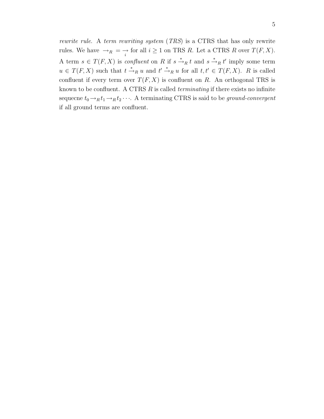*rewrite rule*. A *term rewriting system* (*TRS*) is a CTRS that has only rewrite rules. We have  $\rightarrow_R \ =\ \rightarrow \ \text{for all } i\geq 1 \text{ on TRS } R$ . Let a CTRS R over  $T(F, X)$ . A term  $s \in T(F, X)$  is *confluent* on R if  $s \stackrel{*}{\rightarrow}_R t$  and  $s \stackrel{*}{\rightarrow}_R t'$  imply some term  $u \in T(F, X)$  such that  $t \stackrel{*}{\to}_R u$  and  $t' \stackrel{*}{\to}_R u$  for all  $t, t' \in T(F, X)$ . R is called confluent if every term over  $T(F, X)$  is confluent on R. An orthogonal TRS is known to be confluent. A CTRS R is called *terminating* if there exists no infinite sequecne  $t_0 \rightarrow_R t_1 \rightarrow_R t_2 \cdots$ . A terminating CTRS is said to be *ground-convergent* if all ground terms are confluent.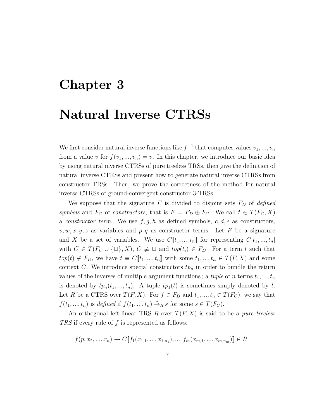### **Chapter 3**

### **Natural Inverse CTRSs**

We first consider natural inverse functions like  $f^{-1}$  that computes values  $v_1, ..., v_n$ from a value v for  $f(v_1, ..., v_n) = v$ . In this chapter, we introduce our basic idea by using natural inverse CTRSs of pure treeless TRSs, then give the definition of natural inverse CTRSs and present how to generate natural inverse CTRSs from constructor TRSs. Then, we prove the correctness of the method for natural inverse CTRSs of ground-convergent constructor 3-TRSs.

We suppose that the signature  $F$  is divided to disjoint sets  $F_D$  of *defined symbols* and  $F_C$  of *constructors*, that is  $F = F_D \oplus F_C$ . We call  $t \in T(F_C, X)$ a *constructor term*. We use  $f, g, h$  as defined symbols,  $c, d, e$  as constructors,  $v, w, x, y, z$  as variables and p, q as constructor terms. Let F be a signature and X be a set of variables. We use  $C[\![t_1, ..., t_n]\!]$  for representing  $C[t_1, ..., t_n]$ with  $C \in T(F_C \cup \{\Box\}, X), C \not\equiv \Box$  and  $top(t_i) \in F_D$ . For a term t such that  $top(t) \notin F_D$ , we have  $t \equiv C[\![t_1, ..., t_n]\!]$  with some  $t_1, ..., t_n \in T(F, X)$  and some context C. We introduce special constructors  $tp_n$  in order to bundle the return values of the inverses of multiple argument functions; a *tuple* of n terms  $t_1, ..., t_n$ is denoted by  $tp_n(t_1, ..., t_n)$ . A tuple  $tp_1(t)$  is sometimes simply denoted by t. Let R be a CTRS over  $T(F, X)$ . For  $f \in F_D$  and  $t_1, ..., t_n \in T(F_C)$ , we say that  $f(t_1, ..., t_n)$  is *defined* if  $f(t_1, ..., t_n) \stackrel{*}{\rightarrow}_R s$  for some  $s \in T(F_C)$ .

An orthogonal left-linear TRS R over T(F, X) is said to be a *pure treeless TRS* if every rule of f is represented as follows:

$$
f(p, x_2, ..., x_n) \to C[\![f_1(x_{1,1}, ..., x_{1,n_1}), ..., f_m(x_{m,1}, ..., x_{m,n_m})]\!] \in R
$$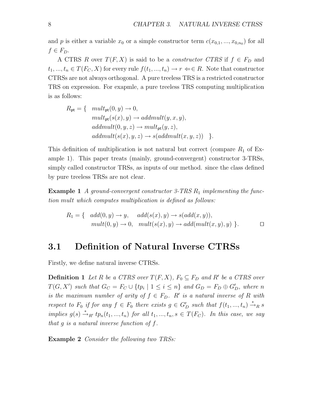and p is either a variable  $x_0$  or a simple constructor term  $c(x_{0,1},...,x_{0,n_0})$  for all  $f \in F_D$ .

A CTRS R over  $T(F, X)$  is said to be a *constructor CTRS* if  $f \in F_D$  and  $t_1, ..., t_n \in T(F_C, X)$  for every rule  $f(t_1, ..., t_n) \to r \Leftarrow \in R$ . Note that constructor CTRSs are not always orthogonal. A pure treeless TRS is a restricted constructor TRS on expression. For exapmle, a pure treeless TRS computing multiplication is as follows:

$$
R_{\sf pt} = \{ \begin{array}{l} mult_{\sf pt}(0, y) \to 0, \\ mult_{\sf pt}(s(x), y) \to addmult(y, x, y), \\ addmult(0, y, z) \to mult_{\sf pt}(y, z), \\ addmult(s(x), y, z) \to s(addmult(x, y, z)) \end{array} \}.
$$

This definition of multiplication is not natural but correct (compare  $R_1$  of Example 1). This paper treats (mainly, ground-convergent) constructor 3-TRSs, simply called constructor TRSs, as inputs of our method. since the class defined by pure treeless TRSs are not clear.

**Example 1** *A ground-convergent constructor 3-TRS R<sub>1</sub> implementing the function* mult *which computes multiplication is defined as follows:*

$$
R_1 = \{ \text{add}(0, y) \rightarrow y, \text{add}(s(x), y) \rightarrow s(\text{add}(x, y)),
$$
  
\n
$$
\text{mult}(0, y) \rightarrow 0, \text{mult}(s(x), y) \rightarrow \text{add}(\text{mult}(x, y), y) \}.
$$

#### **3.1 Definition of Natural Inverse CTRSs**

Firstly, we define natural inverse CTRSs.

**Definition 1** *Let* R *be a CTRS over*  $T(F, X)$ *,*  $F_0 \subseteq F_D$  *and* R' *be a CTRS over*  $T(G, X')$  such that  $G_C = F_C \cup \{tp_i \mid 1 \leq i \leq n\}$  and  $G_D = F_D \oplus G'_D$ , where n *is the maximum number of arity of*  $f \in F_D$ .  $R'$  *is a natural inverse of*  $R$  *with respect to*  $F_0$  *if for any*  $f \in F_0$  *there exists*  $g \in G_D'$  *such that*  $f(t_1, ..., t_n) \stackrel{*}{\rightarrow}_R s$ *implies*  $g(s) \stackrel{*}{\rightarrow}_{R'} tp_n(t_1, ..., t_n)$  *for all*  $t_1, ..., t_n, s \in T(F_C)$ *. In this case, we say that* g *is a natural inverse function of* f*.*

**Example 2** *Consider the following two TRSs:*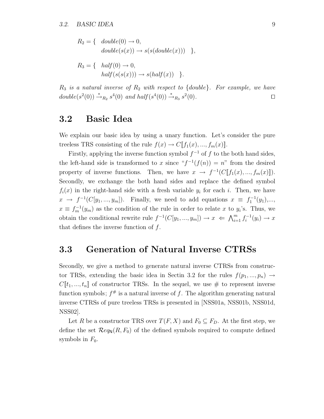$$
R_2 = \{ \quad double(0) \rightarrow 0, double(s(x)) \rightarrow s(s(double(x))) \quad \},
$$

$$
R_3 = \{ \text{ half}(0) \to 0, \n \hat{half}(s(s(x))) \to s(half(x)) \}.
$$

R<sup>3</sup> *is a natural inverse of* R<sup>2</sup> *with respect to* {double}*. For example, we have*  $double(s^2(0)) \stackrel{*}{\rightarrow}_{R_2} s^4(0)$  and half(s<sup>4</sup>(0))  $\stackrel{*}{\rightarrow}_{R_3} s^2(0)$ .

#### **3.2 Basic Idea**

We explain our basic idea by using a unary function. Let's consider the pure treeless TRS consisting of the rule  $f(x) \to C[[f_1(x),...,f_m(x)]]$ .

Firstly, applying the inverse function symbol  $f^{-1}$  of f to the both hand sides, the left-hand side is transformed to x since " $f^{-1}(f(n)) = n$ " from the desired property of inverse functions. Then, we have  $x \to f^{-1}(C[[f_1(x),...,f_m(x)]])$ . Secondly, we exchange the both hand sides and replace the defined symbol  $f_i(x)$  in the right-hand side with a fresh variable  $y_i$  for each i. Then, we have  $x \rightarrow f^{-1}(C[y_1,..., y_m])$ . Finally, we need to add equations  $x \equiv f_1^{-1}(y_1),...,$  $x \equiv f_m^{-1}(y_m)$  as the condition of the rule in order to relate x to  $y_i$ 's. Thus, we obtain the conditional rewrite rule  $f^{-1}(C[y_1, ..., y_m]) \to x \iff \bigwedge_{i=1}^m f_i^{-1}(y_i) \to x$ that defines the inverse function of  $f$ .

#### **3.3 Generation of Natural Inverse CTRSs**

Secondly, we give a method to generate natural inverse CTRSs from constructor TRSs, extending the basic idea in Sectin 3.2 for the rules  $f(p_1, ..., p_n) \rightarrow$  $C[\![t_1, ..., t_n]\!]$  of constructor TRSs. In the sequel, we use # to represent inverse function symbols;  $f^{\#}$  is a natural inverse of f. The algorithm generating natural inverse CTRSs of pure treeless TRSs is presented in [NSS01a, NSS01b, NSS01d, NSS02].

Let R be a constructor TRS over  $T(F, X)$  and  $F_0 \subseteq F_D$ . At the first step, we define the set  $\mathcal{R}eq_{\mathbb{N}}(R, F_0)$  of the defined symbols required to compute defined symbols in  $F_0$ .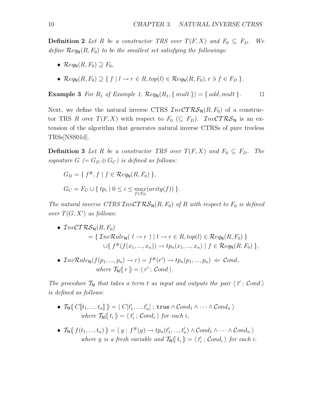**Definition 2** Let R be a constructor TRS over  $T(F, X)$  and  $F_0 \subseteq F_D$ . We *define*  $\mathcal{R}eq_N(R, F_0)$  *to be the smallest set satisfying the followings:* 

- $\mathcal{R}eq_{\mathsf{N}}(R, F_0) \supset F_0$ ,
- $\mathcal{R}eq_{\mathsf{N}}(R, F_0) \supset \{ f \mid l \to r \in R, top(l) \in \mathcal{R}eq_{\mathsf{N}}(R, F_0), r \ni f \in F_D \}$ .

**Example 3** For  $R_1$  of Example 1,  $\mathcal{R}eq_N(R_1, \{ \text{mult} \}) = \{ \text{add}, \text{mult} \}.$ 

Next, we define the natural inverse CTRS  $\mathcal{I}nv\mathcal{C}T\mathcal{RS}_{N}(R, F_{0})$  of a constructor TRS R over  $T(F, X)$  with respect to  $F_0 \ (\subseteq F_D)$ .  $\mathcal{I}nv\mathcal{C}T\mathcal{R}\mathcal{S}_N$  is an extension of the algorithm that generates natural inverse CTRSs of pure treeless TRSs[NSS01d].

**Definition 3** Let R be a constructor TRS over  $T(F, X)$  and  $F_0 \subseteq F_D$ . The *signature*  $G$  (=  $G_D \oplus G_C$ ) *is defined as follows:* 

$$
G_D = \{ f^*, f \mid f \in \mathcal{R}eq_N(R, F_0) \},
$$
  

$$
G_C = F_C \cup \{ tp_i \mid 0 \le i \le \max_{f \in F_D} (arity(f)) \}.
$$

*The natural inverse CTRS*  $InvCTRS_N(R, F_0)$  *of R with respect to*  $F_0$  *is defined over*  $T(G, X')$  *as follows:* 

• 
$$
\text{InvCTRS}_{N}(R, F_{0})
$$
  
= { $\text{InvRule}_{N}(l \to r) | l \to r \in R, top(l) \in \text{Reg}_{N}(R, F_{0})$ }  

$$
\cup \{ f^{\#}(f(x_{1}, ..., x_{n})) \to tp_{n}(x_{1}, ..., x_{n}) | f \in \text{Reg}_{N}(R, F_{0}) \},
$$

•  $InvRule_N(f(p_1, ..., p_n) \to r) = f^{\#}(r') \to tp_n(p_1, ..., p_n) \Leftarrow Cond,$ *where*  $\mathcal{T}_{\mathbf{N}}([r]) = \langle r' : \mathcal{C} \text{ and } \rangle$ .

The procedure  $\mathcal{T}_N$  that takes a term t as input and outputs the pair  $\langle t' : \mathcal{C} \text{ond } \rangle$ *is defined as follows:*

- $\bullet \ \ \mathcal{T}_{\mathsf{N}}(\llbracket \mathit{C}[\![t_1,...,t_n]\!]\!) = \langle \ \mathit{C}[t'_1,...,t'_n] \ ; \ \mathsf{true} \land \mathcal{C}ond_1 \land \cdots \land \mathcal{C}ond_n \ \rangle$ where  $\mathcal{T}_{\mathsf{N}}(\mathfrak{l} t_i) = \langle t'_i ; \mathcal{C} on d_i \rangle$  for each i,
- $T_N([f(t_1, ..., t_n)]) = \langle y, f^*(y) \to tp_n(t'_1, ..., t'_n) \land Cond_1 \land \cdots \land Cond_n \rangle$ where y is a fresh variable and  $\mathcal{T}_{\mathbb{N}}(t_i) = \langle t'_i; \text{Cond}_i \rangle$  for each i.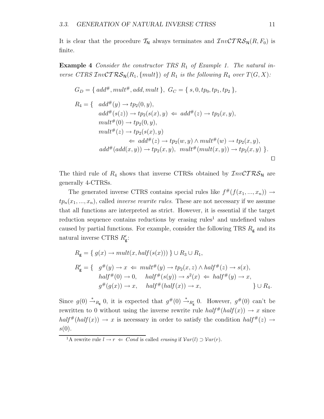It is clear that the procedure  $\mathcal{T}_{N}$  always terminates and  $\mathcal{I}_{n\nu} \mathcal{CTRS}_{N}(R, F_{0})$  is finite.

**Example 4** *Consider the constructor TRS R*<sub>1</sub> *of Example 1. The natural inverse CTRS*  $\mathcal{I}nv\mathcal{C}TRS_N(R_1, \{mult\})$  *of*  $R_1$  *is the following*  $R_4$  *over*  $T(G, X)$ *:* 

$$
G_D = \{ add^{\#}, mult^{\#}, add, mult \}, G_C = \{ s, 0, tp_0, tp_1, tp_2 \},
$$
  
\n
$$
R_4 = \{ add^{\#}(y) \rightarrow tp_2(0, y),
$$
  
\n
$$
add^{\#}(s(z)) \rightarrow tp_2(s(x), y) \Leftarrow add^{\#}(z) \rightarrow tp_2(x, y),
$$
  
\n
$$
mult^{\#}(0) \rightarrow tp_2(0, y),
$$
  
\n
$$
mult^{\#}(z) \rightarrow tp_2(s(x), y)
$$
  
\n
$$
\Leftarrow add^{\#}(z) \rightarrow tp_2(w, y) \land mult^{\#}(w) \rightarrow tp_2(x, y),
$$
  
\n
$$
add^{\#}(add(x, y)) \rightarrow tp_2(x, y), mult^{\#}(mult(x, y)) \rightarrow tp_2(x, y) \}.
$$

The third rule of  $R_4$  shows that inverse CTRSs obtained by  $\mathcal{I}nv\mathcal{C}T\mathcal{R}\mathcal{S}_N$  are generally 4-CTRSs.

The generated inverse CTRS contains special rules like  $f^{\#}(f(x_1, ..., x_n)) \rightarrow$  $tp_n(x_1, ..., x_n)$ , called *inverse rewrite rules*. These are not necessary if we assume that all functions are interpreted as strict. However, it is essential if the target reduction sequence contains reductions by erasing rules<sup>1</sup> and undefined values caused by partial functions. For example, consider the following TRS  $R_{\rm g}$  and its natural inverse CTRS  $R'_{\rm g}$ :

$$
R_{\mathsf{g}} = \{ g(x) \to mult(x, half(s(x))) \} \cup R_{3} \cup R_{1},
$$
  
\n
$$
R'_{\mathsf{g}} = \{ g^{\#}(y) \to x \Leftarrow mult^{\#}(y) \to tp_{2}(x, z) \land half^{\#}(z) \to s(x),
$$
  
\n
$$
half^{\#}(0) \to 0, half^{\#}(s(y)) \to s^{2}(x) \Leftarrow half^{\#}(y) \to x,
$$
  
\n
$$
g^{\#}(g(x)) \to x, half^{\#}(half(x)) \to x, \qquad \} \cup R_{4}.
$$

Since  $g(0) \stackrel{*}{\rightarrow}_{R_{\mathsf{g}}} 0$ , it is expected that  $g^{\#}(0) \stackrel{*}{\rightarrow}_{R'_{\mathsf{g}}} 0$ . However,  $g^{\#}(0)$  can't be rewritten to 0 without using the inverse rewrite rule  $half^*(half(x)) \rightarrow x$  since  $half^{#}(half(x)) \rightarrow x$  is necessary in order to satisfy the condition  $half^{#}(z) \rightarrow$  $s(0).$ 

<sup>&</sup>lt;sup>1</sup>A rewrite rule  $l \rightarrow r \Leftarrow Cond$  is called *erasing* if  $Var(l) \supset Var(r)$ .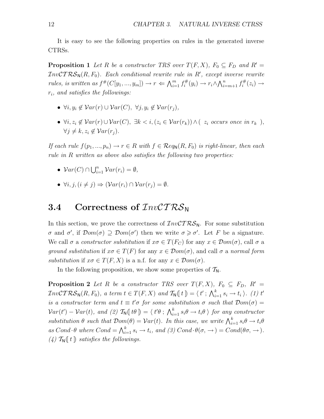It is easy to see the following properties on rules in the generated inverse CTRSs.

**Proposition 1** *Let* R *be a constructor TRS over*  $T(F, X)$ *,*  $F_0 \subseteq F_D$  *and*  $R' =$  $\mathcal{I}nv\mathcal{C}TR\mathcal{S}_{\mathsf{N}}(R,F_0)$ . Each conditional rewrite rule in  $R',$  except inverse rewrite *rules, is written as*  $f^{\#}(C[y_1, ..., y_m]) \to r \Leftarrow \bigwedge_{i=1}^m f_i^{\#}(y_i) \to r_i \wedge \bigwedge_{i=m+1}^n f_i^{\#}(z_i) \to$ ri*, and satisfies the followings:*

- $\bullet \ \forall i, y_i \notin \mathcal{V}ar(r) \cup \mathcal{V}ar(C), \ \forall j, y_i \notin \mathcal{V}ar(r_i),$
- $\forall i, z_i \notin \mathcal{V}ar(r) \cup \mathcal{V}ar(C), \exists k < i, (z_i \in \mathcal{V}ar(r_k)) \land (z_i \text{ occurs once in } r_k),$  $\forall j \neq k, z_i \notin Var(r_j)$ .

*If each rule*  $f(p_1, ..., p_n) \to r \in R$  *with*  $f \in \mathcal{R}eq_{\mathbb{N}}(R, F_0)$  *is right-linear, then each rule in* R *written as above also satisfies the following two properties:*

- $Var(C) \cap \bigcup_{i=1}^{n} Var(r_i) = \emptyset$ ,
- $\forall i, j, (i \neq j) \Rightarrow (\mathcal{V}ar(r_i) \cap \mathcal{V}ar(r_i) = \emptyset.$

#### **3.4** Correctness of  $InvCTRS_N$

In this section, we prove the correctness of  $\mathcal{I}nv\mathcal{C}T\mathcal{RS}_N$ . For some substitution σ and σ', if  $Dom(σ) \supseteq Dom(σ')$  then we write σ ≥ σ'. Let F be a signature. We call  $\sigma$  a *constructor substitution* if  $x\sigma \in T(F_C)$  for any  $x \in \mathcal{D}om(\sigma)$ , call  $\sigma$  a *ground substitution* if  $x\sigma \in T(F)$  for any  $x \in \mathcal{D}om(\sigma)$ , and call  $\sigma$  a *normal form substitution* if  $x\sigma \in T(F, X)$  is a n.f. for any  $x \in \mathcal{D}om(\sigma)$ .

In the following proposition, we show some properties of  $T_N$ .

**Proposition 2** *Let* R *be a constructor TRS over*  $T(F, X)$ *,*  $F_0 \subseteq F_D$ *,*  $R' =$  $\mathcal{I}nv\mathcal{C}TRS_{N}(R, F_{0}),$  a term  $t \in T(F, X)$  and  $\mathcal{T}_{N}(\lbrace t \rbrace) = \langle t' ; \bigwedge_{i=1}^{k} s_{i} \to t_{i} \rangle$ . (1) t' *is a constructor term and*  $t \equiv t' \sigma$  *for some substitution*  $\sigma$  *such that*  $\mathcal{D}om(\sigma) =$  $Var(t') - Var(t)$ , and (2)  $T_N(\llbracket t\theta \rrbracket) = \langle t'\theta \rvert; \bigwedge_{i=1}^k s_i\theta \rightarrow t_i\theta \rangle$  for any constructor  $substitution \theta \text{ such that } \mathcal{D}om(\theta) = \mathcal{V}ar(t)$ . In this case, we write  $\bigwedge_{i=1}^{k} s_i \theta \to t_i \theta$  $as\ Cond\cdot \theta\ where\ Cond = \bigwedge_{i=1}^k s_i \to t_i\$ , and (3)  $Cond\cdot \theta(\sigma, \to) = Cond(\theta\sigma, \to)$ .  $(4)$   $\mathcal{T}_{\mathsf{N}}(t)$  *satisfies the followings.*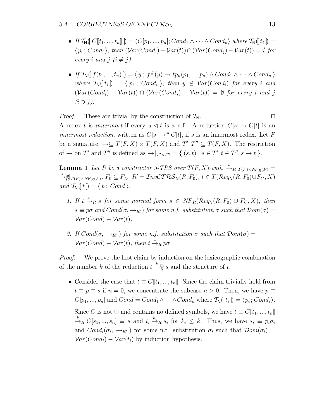- *If*  $\mathcal{T}_{\mathsf{N}}([C[[t_1, ..., t_n]]) = \langle C[p_1, ..., p_n]; Cond_1 \wedge \cdots \wedge Cond_n \rangle$  where  $\mathcal{T}_{\mathsf{N}}([t_i]) =$  $\langle p_i; Cond_i \rangle$ , then  $(\mathcal{V}ar(Cond_i)-\mathcal{V}ar(t)) \cap (\mathcal{V}ar(Cond_j)-\mathcal{V}ar(t)) = \emptyset$  for *every i* and *j*  $(i \neq j)$ .
- *If*  $\mathcal{T}_{\mathbb{N}}(f(t_1, ..., t_n)) = \langle y : f^*(y) \to tp_n(p_1, ..., p_n) \land Cond_1 \land \cdots \land Cond_n \rangle$ *where*  $\mathcal{T}_{N}(t_{i}) = \langle p_{i} : Cond_{i} \rangle$ , then  $y \notin Var(Cond_{i})$  for every i and  $(Var(Cond_i) - Var(t)) \cap (Var(Cond_i) - Var(t)) = \emptyset$  *for every i and j*  $(i \ni j)$ .

*Proof.* These are trivial by the construction of  $\mathcal{T}_N$ . A redex t is *innermost* if every  $u \leq t$  is a n.f.. A reduction  $C[s] \to C[t]$  is an *innermost reduction*, written as  $C[s] \rightarrow^{\text{in}} C[t]$ , if s is an innermost redex. Let F be a signature,  $\rightarrow \subseteq T(F,X) \times T(F,X)$  and  $T',T'' \subseteq T(F,X)$ . The restriction of  $\to$  on T' and T'' is defined as  $\to|_{T'\times T''} = \{ (s,t) | s \in T', t \in T'', s \to t \}.$ 

**Lemma 1** *Let* R *be a constructor 3-TRS over*  $T(F, X)$  *with*  $\stackrel{*}{\rightarrow} R|_{T(F)\times NF_R(F)} =$ <br>\* in  $\stackrel{*}{\rightarrow} \stackrel{\text{in}}{R}|_{T(F)\times NF_R(F)}, F_0 \subseteq F_D, R' = \mathcal{I}nv\mathcal{C}T\mathcal{R}\mathcal{S}_{\mathsf{N}}(R,F_0), t \in T(\mathcal{R}eq_{\mathsf{N}}(R,F_0)\cup F_C, X)$ *and*  $\mathcal{T}_{\mathsf{N}}(t) = \langle p; Cond \rangle$ .

- 1. If  $t \stackrel{*}{\rightarrow}_R s$  *for some normal form*  $s \in NF_R(\mathcal{R}eq_\mathsf{N}(R,F_0) \cup F_C, X)$ *, then*  $s \equiv p\sigma$  and  $Cond(\sigma, \rightarrow_{R'})$  for some n.f. substitution  $\sigma$  such that  $Dom(\sigma)$  $Var(Cond) - Var(t)$ .
- *2.* If  $Cond(\sigma, \rightarrow_{R'})$  for some n.f. substitution  $\sigma$  such that  $Dom(\sigma)$  =  $Var(Cond) - Var(t)$ , then  $t \stackrel{*}{\rightarrow}_R p\sigma$ .

*Proof.* We prove the first claim by induction on the lexicographic combination of the number k of the reduction  $t \stackrel{k}{\rightarrow} \frac{in}{R} s$  and the structure of t.

• Consider the case that  $t \equiv C[[t_1, ..., t_n]]$ . Since the claim trivially hold from  $t \equiv p \equiv s$  if  $n = 0$ , we concentrate the subcase  $n > 0$ . Then, we have  $p \equiv$  $C[p_1, ..., p_n]$  and  $Cond = Cond_1 \wedge \cdots \wedge Cond_n$  where  $\mathcal{T}_{\mathbb{N}}(t_i) = \langle p_i; Cond_i \rangle$ . Since C is not  $\Box$  and contains no defined symbols, we have  $t \equiv C[[t_1, ..., t_n]]$  $\stackrel{k}{\rightarrow}_R C[s_1,...,s_n] \equiv s$  and  $t_i \stackrel{k_i}{\rightarrow}_R s_i$  for  $k_i \leq k$ . Thus, we have  $s_i \equiv p_i \sigma_i$ and  $Cond_i(\sigma_i, \rightarrow_{R'})$  for some n.f. substitution  $\sigma_i$  such that  $Dom(\sigma_i)$  $Var(Cond_i) - Var(t_i)$  by induction hypothesis.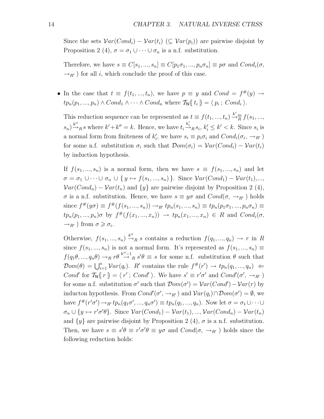Since the sets  $Var(Cond_i) - Var(t_i)$  ( $\subseteq Var(p_i)$ ) are pairwise disjoint by Proposition 2 (4),  $\sigma = \sigma_1 \cup \cdots \cup \sigma_n$  is a n.f. substitution.

Therefore, we have  $s \equiv C[s_1, ..., s_n] \equiv C[p_1\sigma_1, ..., p_n\sigma_n] \equiv p\sigma$  and  $Cond_i(\sigma,$  $\rightarrow_{R'}$ ) for all *i*, which conclude the proof of this case.

• In the case that  $t \equiv f(t_1, ..., t_n)$ , we have  $p \equiv y$  and  $Cond = f^{#}(y) \rightarrow$  $tp_n(p_1, ..., p_n) \wedge Cond_1 \wedge \cdots \wedge Cond_n$  where  $\mathcal{T}_{\mathsf{N}}(t_i) = \langle p_i; Cond_i \rangle$ .

This reduction sequence can be represented as  $t \equiv f(t_1, ..., t_n) \stackrel{k'}{\rightarrow} \stackrel{k}{R} f(s_1, ..., s_n)$  $(s_n) \stackrel{k''}{\rightarrow}_R s$  where  $k' + k'' = k$ . Hence, we have  $t_i \stackrel{k'_i}{\rightarrow}_R s_i$ ,  $k'_i \leq k' < k$ . Since  $s_i$  is a normal form from finiteness of  $k'_i$ , we have  $s_i \equiv p_i \sigma_i$  and  $Cond_i(\sigma_i, \rightarrow_{R'})$ for some n.f. substitution  $\sigma_i$  such that  $\mathcal{D}om(\sigma_i) = \mathcal{V}ar(Cond_i) - \mathcal{V}ar(t_i)$ by induction hypothesis.

If  $f(s_1, ..., s_n)$  is a normal form, then we have  $s \equiv f(s_1, ..., s_n)$  and let  $\sigma = \sigma_1 \cup \cdots \cup \sigma_n \cup \{y \mapsto f(s_1, ..., s_n)\}\.$  Since  $\mathcal{V}ar(Cond_1) - \mathcal{V}ar(t_1),...$  $Var(Cond_n) - Var(t_n)$  and  $\{y\}$  are pairwise disjoint by Proposition 2 (4),  $\sigma$  is a n.f. substitution. Hence, we have  $s \equiv y\sigma$  and  $Cond(\sigma, \rightarrow_{R'})$  holds since  $f^{\#}(y\sigma) \equiv f^{\#}(f(s_1, ..., s_n)) \rightarrow_{R'} tp_n(s_1, ..., s_n) \equiv tp_n(p_1\sigma_1, ..., p_n\sigma_n) \equiv$  $tp_n(p_1, ..., p_n)\sigma$  by  $f^{\#}(f(x_1, ..., x_n)) \rightarrow tp_n(x_1, ..., x_n) \in R$  and  $Cond_i(\sigma,$  $\rightarrow_{R'}$ ) from  $\sigma \geq \sigma_i$ .

Otherwise,  $f(s_1, ..., s_n) \stackrel{k''}{\rightarrow}_R s$  contains a reduction  $f(q_1, ..., q_n) \rightarrow r$  in R since  $f(s_1, ..., s_n)$  is not a normal form. It's represented as  $f(s_1, ..., s_n) \equiv$  $f(q_1\theta, ..., q_n\theta) \rightarrow_R r\theta \stackrel{k''-1}{\rightarrow} g'\theta \equiv s$  for some n.f. substitution  $\theta$  such that  $\mathcal{D}om(\theta) = \bigcup_{i=1}^n \mathcal{V}ar(q_i)$ . R' contains the rule  $f^{\#}(r') \to tp_n(q_1, ..., q_n) \Leftarrow$ Cond' for  $\mathcal{T}_{\mathsf{N}}([r]) = \langle r' ; Cond' \rangle$ . We have  $s' \equiv r'\sigma'$  and  $Cond'(\sigma', \rightarrow_{R'})$ for some n.f. substitution  $\sigma'$  such that  $\mathcal{D}om(\sigma') = \mathcal{V}ar(Cond') - \mathcal{V}ar(r)$  by inducton hypothesis. From  $Cond'(\sigma', \rightarrow_{R'})$  and  $Var(q_i) \cap Dom(\sigma') = \emptyset$ , we have  $f^{\#}(r'\sigma') \to_{R'} tp_n(q_1\sigma',...,q_n\sigma') \equiv tp_n(q_1,...,q_n)$ . Now let  $\sigma = \sigma_1 \cup \cdots \cup$  $\sigma_n \cup \{y \mapsto r'\sigma'\theta\}$ . Since  $Var(Cond_1) - Var(t_1), ..., Var(Cond_n) - Var(t_n)$ and  $\{y\}$  are pairwise disjoint by Proposition 2 (4),  $\sigma$  is a n.f. substitution. Then, we have  $s \equiv s' \theta \equiv r' \sigma' \theta \equiv y \sigma$  and  $Cond(\sigma, \rightarrow_{R'})$  holds since the following reduction holds: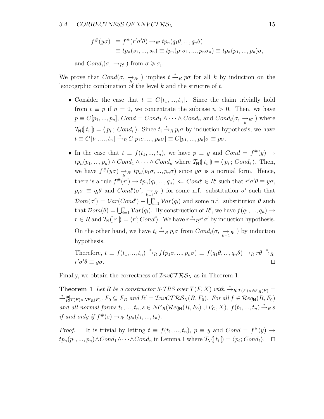$$
f^{\#}(y\sigma) \equiv f^{\#}(r'\sigma'\theta) \rightarrow_{R'} tp_n(q_1\theta, ..., q_n\theta)
$$
  
\n
$$
\equiv tp_n(s_1, ..., s_n) \equiv tp_n(p_1\sigma_1, ..., p_n\sigma_n) \equiv tp_n(p_1, ..., p_n)\sigma,
$$

and  $Cond_i(\sigma, \rightarrow_{R'})$  from  $\sigma \geq \sigma_i$ .

We prove that  $Cond(\sigma, \rightarrow_{R'} \sigma)$  implies  $t \stackrel{*}{\rightarrow}_R p\sigma$  for all k by induction on the lexicographic combination of the level  $k$  and the structre of  $t$ .

- Consider the case that  $t \equiv C[[t_1, ..., t_n]]$ . Since the claim trivially hold from  $t \equiv p$  if  $n = 0$ , we concentrate the subcase  $n > 0$ . Then, we have  $p \equiv C[p_1, ..., p_n]$ ,  $Cond = Cond_1 \wedge \cdots \wedge Cond_n$  and  $Cond_i(\sigma, \rightarrow_{R'} )$  where  $\mathcal{T}_{\mathbf{N}}(\mathfrak{l} t_i) = \langle p_i ; Cond_i \rangle$ . Since  $t_i \stackrel{*}{\rightarrow}_R p_i \sigma$  by induction hypothesis, we have  $t \equiv C[[t_1, ..., t_n]] \stackrel{*}{\to}_R C[p_1 \sigma, ..., p_n \sigma] \equiv C[p_1, ..., p_n] \sigma \equiv p \sigma.$
- In the case that  $t \equiv f(t_1, ..., t_n)$ , we have  $p \equiv y$  and  $Cond = f^{#}(y) \rightarrow$  $tp_n(p_1, ..., p_n) \wedge Cond_1 \wedge \cdots \wedge Cond_n$  where  $\mathcal{T}_{\mathsf{N}}(\lbrace t_i \rbrace) = \langle p_i ; Cond_i \rangle$ . Then, we have  $f^{\#}(y\sigma) \rightarrow_{k}^{R'} tp_n(p_1\sigma, ..., p_n\sigma)$  since  $y\sigma$  is a normal form. Hence, there is a rule  $f^{\#}(r') \to tp_n(q_1, ..., q_n) \Leftarrow Cond' \in R'$  such that  $r'\sigma'\theta \equiv y\sigma$ ,  $p_i \sigma \equiv q_i \theta$  and  $Cond'(\sigma', \xrightarrow[k-1]{R'} )$  for some n.f. substitution  $\sigma'$  such that  $\mathcal{D}om(\sigma') = \mathcal{V}ar(Cond') - \bigcup_{i=1}^{n} \mathcal{V}ar(q_i)$  and some n.f. substitution  $\theta$  such that  $Dom(\theta) = \bigcup_{i=1}^{n} Var(q_i)$ . By construction of R', we have  $f(q_1, ..., q_n) \rightarrow$  $r \in R$  and  $\mathcal{T}_{\mathsf{N}}(\lfloor r \rfloor) = \langle r'; Cond' \rangle$ . We have  $r \stackrel{*}{\rightarrow}_R r' \sigma'$  by induction hypothesis. On the other hand, we have  $t_i \stackrel{*}{\rightarrow}_R p_i \sigma$  from  $Cond_i(\sigma, \xrightarrow[k-1] R')$  by induction hypothesis.

Therefore, 
$$
t \equiv f(t_1, ..., t_n) \stackrel{*}{\rightarrow}_R f(p_1 \sigma, ..., p_n \sigma) \equiv f(q_1 \theta, ..., q_n \theta) \rightarrow_R r \theta \stackrel{*}{\rightarrow}_R r' \sigma' \theta \equiv y \sigma
$$
.

Finally, we obtain the correctness of  $\mathcal{I}nv\mathcal{C}T\mathcal{RS}_N$  as in Theorem 1.

**Theorem 1** *Let* R *be a constructor 3-TRS over*  $T(F, X)$  *with*  $\stackrel{*}{\rightarrow} R|_{T(F)\times NF_R(F)} =$ <br>\* in  $\stackrel{*}{\rightarrow}$ <sup>in</sup><sub>R</sub> $|_{T(F)\times NF_R(F)}$ ,  $F_0 \subseteq F_D$  and  $R' = \mathcal{I}nv\mathcal{C}T\mathcal{R}\mathcal{S}_N(R,F_0)$ *. For all*  $f \in \mathcal{R}eq_N(R,F_0)$ *and all normal forms*  $t_1, ..., t_n, s \in NF_R(\mathcal{R}eq_\mathsf{N}(R, F_0) \cup F_C, X), f(t_1, ..., t_n) \stackrel{*}{\rightarrow}_R s$ *if and only if*  $f^{\#}(s) \rightarrow_{R'} tp_n(t_1, ..., t_n)$ .

*Proof.* It is trivial by letting  $t \equiv f(t_1, ..., t_n)$ ,  $p \equiv y$  and  $Cond = f^{\#}(y) \rightarrow$  $tp_n(p_1, ..., p_n) \land Cond_1 \land \cdots \land Cond_n$  in Lemma 1 where  $\mathcal{T}_{\mathsf{N}}(\lbrace t_i \rbrace) = \langle p_i; Cond_i \rangle$ .  $\Box$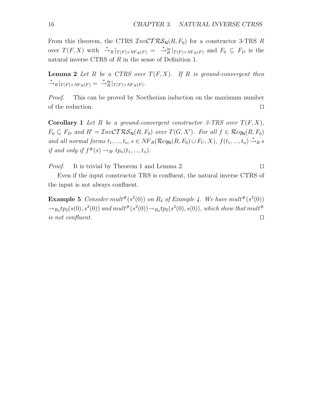From this theorem, the CTRS  $InvCTRS_N(R, F_0)$  for a constructor 3-TRS R over  $T(F, X)$  with  $\stackrel{*}{\to}_R |_{T(F) \times NF_R(F)} = \stackrel{*}{\to}_R^{\text{in}} |_{T(F) \times NF_R(F)}$  and  $F_0 \subseteq F_D$  is the natural inverse CTRS of R in the sense of Definition 1.

**Lemma 2** Let R be a CTRS over  $T(F, X)$ . If R is ground-convergent then  $\stackrel{*}{\longrightarrow}_R \big|_{T(F)\times NF_R(F)} = \stackrel{*}{\longrightarrow}_R \stackrel{in}{|_{T(F)\times NF_R(F)}}.$ 

*Proof.* This can be proved by Noetherian induction on the maximum number of the reduction.  $\Box$ 

**Corollary 1** *Let* R *be a ground-convergent constructor 3-TRS over*  $T(F, X)$ *,*  $F_0 \subseteq F_D$  and  $R' = \mathcal{I}nv\mathcal{C}T\mathcal{R}\mathcal{S}_N(R, F_0)$  over  $T(G, X')$ . For all  $f \in \mathcal{R}eq_N(R, F_0)$ *and all normal forms*  $t_1, ..., t_n, s \in NF_R(\mathcal{R}eq_\mathsf{N}(R, F_0) \cup F_C, X), f(t_1, ..., t_n) \stackrel{*}{\rightarrow}_R s$ *if and only if*  $f^{\#}(s) \rightarrow_{R'} tp_n(t_1, ..., t_n)$ .

*Proof.* It is trivial by Theorem 1 and Lemma 2. □

Even if the input constructor TRS is confluent, the natural inverse CTRS of the input is not always confluent.

**Example 5** *Consider* mult<sup>#</sup>( $s^2(0)$ ) *on*  $R_4$  *of Example 4.* We have mult<sup>#</sup>( $s^2(0)$ )  $\rightarrow_{R_4} tp_2(s(0), s^2(0))$  and  $mult^*(s^2(0)) \rightarrow_{R_4} tp_2(s^2(0), s(0))$ , which show that  $mult^*$ *is not confluent.*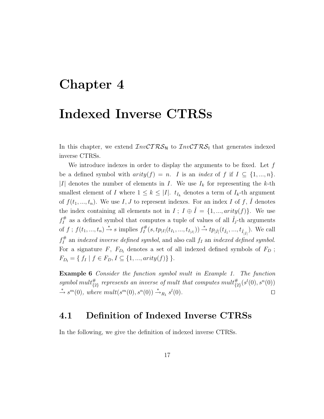### **Chapter 4**

### **Indexed Inverse CTRSs**

In this chapter, we extend  $InvCTRS_N$  to  $InvCTRS_1$  that generates indexed inverse CTRSs.

We introduce indexes in order to display the arguments to be fixed. Let  $f$ be a defined symbol with  $arity(f) = n$ . I is an *index* of f if  $I \subseteq \{1, ..., n\}$ . |I| denotes the number of elements in I. We use  $I_k$  for representing the k-th smallest element of I where  $1 \leq k \leq |I|$ .  $t_{I_k}$  denotes a term of  $I_k$ -th argument of  $f(t_1, ..., t_n)$ . We use I, J to represent indexes. For an index I of f,  $\hat{I}$  denotes the index containing all elements not in  $I: I \oplus \hat{I} = \{1, ..., arity(f)\}\$ . We use  $f_I^{\#}$  as a defined symbol that computes a tuple of values of all  $\hat{I}_j$ -th arguments of  $f$ ;  $f(t_1, ..., t_n) \stackrel{*}{\to} s$  implies  $f_I^{\#}(s, tp_{|I|}(t_{I_1}, ..., t_{I_{|I|}})) \stackrel{*}{\to} tp_{|\hat{I}|}(t_{\hat{I}_1}, ..., t_{\hat{I}_{|\hat{I}|}})$ . We call  $f_I^{\#}$  an *indexed inverse defined symbol*, and also call  $f_I$  an *indexed defined symbol*. For a signature F,  $F_{D_1}$  denotes a set of all indexed defined symbols of  $F_D$ ;  $F_{D_1} = \{ f_I \mid f \in F_D, I \subseteq \{1, ..., arity(f)\} \}.$ 

**Example 6** *Consider the function symbol* mult *in Example 1. The function* symbol mult<sup>#</sup><sub>{2}</sub> represents an inverse of mult that computes  $mult_{\{2\}}^{#}(s^{l}(0), s^{n}(0))$  $\stackrel{*}{\rightarrow} s^m(0)$ , where  $mult(s^m(0), s^n(0)) \stackrel{*}{\rightarrow}_{R_1} s^l$ (0)*.*

#### **4.1 Definition of Indexed Inverse CTRSs**

In the following, we give the definition of indexed inverse CTRSs.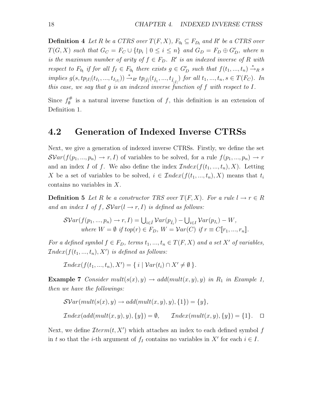**Definition 4** *Let* R *be a CTRS over*  $T(F, X)$ *,*  $F_{0} \subseteq F_{D_1}$  *and* R' *be a CTRS over*  $T(G, X)$  such that  $G_C = F_C \cup \{tp_i \mid 0 \leq i \leq n\}$  and  $G_D = F_D \oplus G'_D$ , where n *is the maximum number of arity of*  $f \in F_D$ . R' *is an indexed inverse of* R *with respect to*  $F_{0}$  *if for all*  $f_I \in F_{0}$  *there exists*  $g \in G'_D$  *such that*  $f(t_1, ..., t_n) \stackrel{*}{\rightarrow} R$  *s*  $\text{implies } g(s, tp_{|I|}(t_{I_1},..., t_{I_{|I|}})) \stackrel{*}{\rightarrow}_{R'} tp_{|\hat{I}|}(t_{\hat{I}_1},..., t_{\hat{I}_{|\hat{I}|}}) \text{ for all } t_1,...,t_n, s \in T(F_C)$ . In *this case, we say that* g *is an indexed inverse function of* f *with respect to* I*.*

Since  $f_{\emptyset}^{\#}$  is a natural inverse function of f, this definition is an extension of Definition 1.

#### **4.2 Generation of Indexed Inverse CTRSs**

Next, we give a generation of indexed inverse CTRSs. Firstly, we define the set  $\mathcal{SVar}(f(p_1,..., p_n) \to r, I)$  of variables to be solved, for a rule  $f(p_1,..., p_n) \to r$ and an index I of f. We also define the index  $Index(f(t_1, ..., t_n), X)$ . Letting X be a set of variables to be solved,  $i \in Index(f(t_1,..., t_n), X)$  means that  $t_i$ contains no variables in X.

**Definition 5** Let R be a constructor TRS over  $T(F, X)$ . For a rule  $l \to r \in R$ and an index I of f,  $SVar(l \rightarrow r, I)$  is defined as follows:

$$
\mathcal{SVar}(f(p_1, ..., p_n) \to r, I) = \bigcup_{i \in \hat{I}} \mathcal{V}ar(p_{\hat{I}_i}) - \bigcup_{i \in I} \mathcal{V}ar(p_{I_i}) - W,
$$
  
where  $W = \emptyset$  if top $(r) \in F_D$ ,  $W = \mathcal{V}ar(C)$  if  $r \equiv C[r_1, ..., r_n]$ .

*For a defined symbol*  $f \in F_D$ , terms  $t_1, ..., t_n \in T(F, X)$  and a set X' of variables,  $Index(f(t_1, ..., t_n), X')$  *is defined as follows:* 

 $Index(f(t_1, ..., t_n), X') = \{ i \mid Var(t_i) \cap X' \neq \emptyset \}$ *.* 

**Example 7** *Consider*  $mult(s(x), y) \rightarrow add(mult(x, y), y)$  *in*  $R_1$  *in Example 1, then we have the followings:*

$$
\mathcal{SVar}(mult(s(x), y) \to add(mult(x, y), y), \{1\}) = \{y\},
$$
  

$$
Index(add(mult(x, y), y), \{y\}) = \emptyset, \qquad Index(mult(x, y), \{y\}) = \{1\}.
$$

Next, we define  $\mathcal{I}term(t, X')$  which attaches an index to each defined symbol f in t so that the *i*-th argument of  $f_I$  contains no variables in  $X'$  for each  $i \in I$ .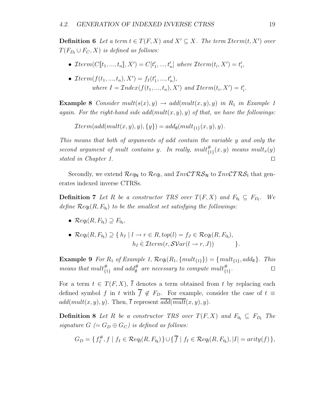**Definition 6** Let a term  $t \in T(F, X)$  and  $X' \subseteq X$ . The term  $\mathcal{I}$ term $(t, X')$  over  $T(F_{D_1} \cup F_C, X)$  *is defined as follows:* 

- $\mathcal{I}term(C[\![t_1, ..., t_n]\!], X') = C[t'_1, ..., t'_n]$  where  $\mathcal{I}term(t_i, X') = t'_i$ ,
- $\mathcal{I}term(f(t_1, ..., t_n), X') = f_I(t'_1, ..., t'_n),$ where  $I = \mathcal{I}ndex(f(t_1, ..., t_n), X')$  and  $\mathcal{I}term(t_i, X') = t'_i$ .

**Example 8** *Consider*  $mult(s(x), y) \rightarrow add(mult(x, y), y)$  *in*  $R_1$  *in Example 1 again. For the right-hand side add*( $mult(x, y), y$ ) *of that, we have the followings:* 

 $\mathcal{I}$ term(add(mult(x, y), y), {y}) = add<sub>@</sub>(mult<sub>{1}</sub>(x, y), y).

*This means that both of arguments of* add *contain the variable* y *and only the*  $second argument of multi-contains y. In really, multi+<sub>{1}</sub>(x, y) means multi<sub>x</sub>(y)$ *stated in Chapter 1.*

Secondly, we extend  $\mathcal{R}eq_N$  to  $\mathcal{R}eq_N$ , and  $\mathcal{I}nv\mathcal{C}TRS_N$  to  $\mathcal{I}nv\mathcal{C}TRS_1$  that generates indexed inverse CTRSs.

**Definition 7** *Let* R *be a constructor TRS over*  $T(F, X)$  *and*  $F_{0} \subseteq F_{D_1}$ *. We* define  $\mathcal{R}eq_{1}(R, F_{0_{1}})$  to be the smallest set satisfying the followings:

•  $\mathcal{R}eq_{1}(R, F_{0_{1}}) \supseteq F_{0_{1}},$ 

• 
$$
\mathcal{R}eq_{1}(R, F_{0_{1}}) \supseteq \{ h_{I} | l \rightarrow r \in R, top(l) = f_{J} \in \mathcal{R}eq_{1}(R, F_{0_{1}}),
$$
  
\n $h_{I} \in \mathcal{I}term(r, \mathcal{SVar}(l \rightarrow r, J)) \}.$ 

**Example 9** *For*  $R_1$  *of Example 1,*  $\mathcal{R}eq_1(R_1, \{mult_{\{1\}}\}) = \{mult_{\{1\}}, add_{\emptyset}\}.$  *This means that*  $mult_{\{1\}}^{\#}$  *and*  $add_{\emptyset}^{\#}$  *are necessary to compute*  $mult_{\{1\}}^{\#}$ .

For a term  $t \in T(F, X)$ ,  $\overline{t}$  denotes a term obtained from t by replacing each defined symbol f in t with  $\overline{f} \notin F_D$ . For example, consider the case of  $t \equiv$  $add(mult(x, y), y)$ . Then,  $\overline{t}$  represent  $\overline{add(mult(x, y), y)}$ .

**Definition 8** *Let* R *be a constructor TRS over*  $T(F, X)$  *and*  $F_{0} \subseteq F_{D}$  *The signature*  $G$  (=  $G_D \oplus G_C$ ) *is defined as follows:* 

$$
G_D = \{ f_I^{\#}, f \mid f_I \in \mathcal{R}eq_{\mathsf{I}}(R, F_{0_{\mathsf{I}}}) \} \cup \{ \overline{f} \mid f_I \in \mathcal{R}eq_{\mathsf{I}}(R, F_{0_{\mathsf{I}}}), |I| = arity(f) \},
$$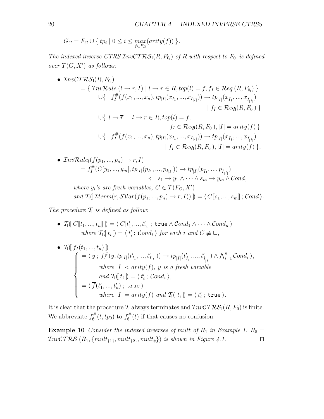$$
G_C = F_C \cup \{ tp_i \mid 0 \le i \le \max_{f \in F_D} (arity(f)) \}.
$$

*The indexed inverse CTRS*  $\mathcal{I}nv\mathcal{C}TRS_1(R, F_{0_1})$  *of* R with respect to  $F_{0_1}$  *is defined over*  $T(G, X')$  *as follows:* 

• 
$$
\mathcal{I}nvCTRS_{1}(R, F_{0_{1}})
$$
  
\n
$$
= \{ \mathcal{I}nvRule_{1}(l \to r, I) | l \to r \in R, top(l) = f, f_{I} \in \mathcal{R}eq_{1}(R, F_{0_{1}}) \}
$$
  
\n
$$
\cup \{ f_{I}^{#}(f(x_{1}, ..., x_{n}), tp_{|I|}(x_{I_{1}}, ..., x_{I_{|I|}})) \to tp_{|\hat{I}|}(x_{\hat{I}_{1}}, ..., x_{\hat{I}_{|\hat{I}|}})
$$
  
\n
$$
| f_{I} \in \mathcal{R}eq_{1}(R, F_{0_{1}}) \}
$$
  
\n
$$
\cup \{ \bar{l} \to \bar{r} | l \to r \in R, top(l) = f,
$$
  
\n
$$
f_{I} \in \mathcal{R}eq_{1}(R, F_{0_{1}}), |I| = arity(f) \}
$$
  
\n
$$
\cup \{ f_{I}^{#}(\bar{f}(x_{1}, ..., x_{n}), tp_{|I|}(x_{I_{1}}, ..., x_{I_{|I|}})) \to tp_{|\hat{I}|}(x_{\hat{I}_{1}}, ..., x_{\hat{I}_{|\hat{I}|}})
$$
  
\n
$$
| f_{I} \in \mathcal{R}eq_{1}(R, F_{0_{1}}), |I| = arity(f) \},
$$

• 
$$
\begin{aligned}\n\text{InvRule}_{1}(f(p_1, ..., p_n) \to r, I) \\
&= f_I^{\#}(C[y_1, ..., y_m], tp_{|I|}(p_{I_1}, ..., p_{I_{|I|}})) \to tp_{|\hat{I}|}(p_{\hat{I}_1}, ..., p_{\hat{I}_{|\hat{I}|}}) \\
&\Leftarrow s_1 \to y_1 \land \cdots \land s_m \to y_m \land Cond, \\
where \ y_i \text{ is are fresh variables, } C \in T(F_C, X') \\
\text{and } T_1(\text{Term}(r, \mathcal{SVar}(f(p_1, ..., p_n) \to r, I))) \equiv \langle C[s_1, ..., s_m]; \text{Cond} \rangle.\n\end{aligned}
$$

The procedure  $\mathcal{T}_1$  *is defined as follow:* 

\n- \n
$$
\mathcal{T}_1[\![C[\![t_1, \ldots, t_n]\!]) = \langle C[t'_1, \ldots, t'_n] \, ; \, \text{true} \land \text{Cond}_1 \land \cdots \land \text{Cond}_n \rangle
$$
\n
\n- \n $\text{where } \mathcal{T}_1[\![t_i]\!]) = \langle t'_i \, ; \text{Cond}_i \rangle \text{ for each } i \text{ and } C \not\equiv \Box,$ \n
\n

\n- \n
$$
\mathcal{T}_{\mathsf{I}}\left(\n \begin{array}{c}\n f_I(t_1, \ldots, t_n) \, \mathbf{I} \\
 \mathbf{I} \\
 \mathbf{I} \\
 \mathbf{I} \\
 \mathbf{I} \\
 \mathbf{I} \\
 \mathbf{I} \\
 \mathbf{I} \\
 \mathbf{I} \\
 \mathbf{I} \\
 \mathbf{I} \\
 \mathbf{I} \\
 \mathbf{I} \\
 \mathbf{I} \\
 \mathbf{I} \\
 \mathbf{I} \\
 \mathbf{I} \\
 \mathbf{I} \\
 \mathbf{I} \\
 \mathbf{I} \\
 \mathbf{I} \\
 \mathbf{I} \\
 \mathbf{I} \\
 \mathbf{I} \\
 \mathbf{I} \\
 \mathbf{I} \\
 \mathbf{I} \\
 \mathbf{I} \\
 \mathbf{I} \\
 \mathbf{I} \\
 \mathbf{I} \\
 \mathbf{I} \\
 \mathbf{I} \\
 \mathbf{I} \\
 \mathbf{I} \\
 \mathbf{I} \\
 \mathbf{I} \\
 \mathbf{I} \\
 \mathbf{I} \\
 \mathbf{I} \\
 \mathbf{I} \\
 \mathbf{I} \\
 \mathbf{I} \\
 \mathbf{I} \\
 \mathbf{I} \\
 \mathbf{I} \\
 \mathbf{I} \\
 \mathbf{I} \\
 \mathbf{I} \\
 \mathbf{I} \\
 \mathbf{I} \\
 \mathbf{I} \\
 \mathbf{I} \\
 \mathbf{I} \\
 \mathbf{I} \\
 \mathbf{I} \\
 \mathbf{I} \\
 \mathbf{I} \\
 \mathbf{I} \\
 \mathbf{I} \\
 \mathbf{I} \\
 \mathbf{I} \\
 \mathbf{I} \\
 \mathbf{I} \\
 \mathbf{I} \\
 \mathbf{I} \\
 \mathbf{I} \\
 \mathbf{I} \\
 \mathbf{I} \\
 \mathbf{I} \\
 \mathbf{I} \\
 \mathbf{I} \\
 \mathbf{I} \\
 \mathbf{I} \\
 \mathbf{I} \\
 \mathbf{I} \\
 \mathbf{I} \\
 \mathbf{I} \\
 \mathbf{I} \\
 \mathbf{I} \\
 \mathbf{I} \\
 \mathbf{I} \\
 \mathbf{I} \\
 \mathbf{I} \\
 \mathbf{I} \\
 \mathbf{I} \\
 \mathbf{I} \\
 \mathbf{I} \\
 \mathbf{I} \\
 \mathbf{I} \\
 \mathbf{I} \\
 \mathbf{I} \\
 \mathbf{I} \\
 \mathbf{I} \\
 \mathbf{I} \\
 \mathbf{I} \\
 \mathbf{I} \\
 \mathbf{I} \\
 \mathbf{I} \\
 \mathbf{I} \\
 \mathbf{I} \\
 \mathbf{I} \\
 \math
$$

It is clear that the procedure  $\mathcal{T}_1$  always terminates and  $\mathcal{I}nv\mathcal{CTRS}_1(R, F_0)$  is finite. We abbreviate  $f_{\emptyset}^{\#}(t, tp_0)$  to  $f_{\emptyset}^{\#}(t)$  if that causes no confusion.

**Example 10** *Consider the indexed inverses of mult of*  $R_1$  *in Example 1.*  $R_5 =$  $InvCTRS_1(R_1, \{mult_{\{1\}}, mult_{\{2\}}, mult_{\emptyset}\})$  *is shown in Figure 4.1.*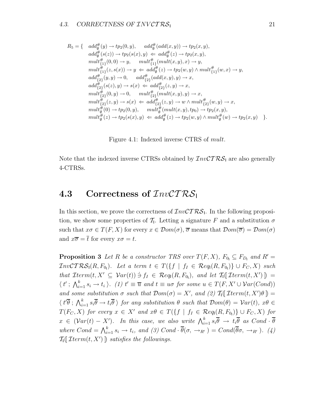$$
R_5 = \{ \quad ad\partial_{\theta}^{\#}(y) \to tp_2(0, y), \quad add_{\theta}^{\#}(add(x, y)) \to tp_2(x, y),\nadd_{\theta}^{\#}(s(z)) \to tp_2(s(x), y) \Leftarrow add_{\theta}^{\#}(z) \to tp_2(x, y),\nmult_{\{1\}}^{\#}(0, 0) \to y, \quad mult_{\{1\}}^{\#}(mult(x, y), x) \to y,\nmult_{\{1\}}^{\#}(z, s(x)) \to y \Leftarrow add_{\theta}^{\#}(z) \to tp_2(w, y) \land mult_{\{1\}}^{\#}(w, x) \to y,\nadd_{\{2\}}^{\#}(y, y) \to 0, \quad add_{\{2\}}^{\#}(add(x, y), y) \to x,\nadd_{\{2\}}^{\#}(s(z), y) \to s(x) \Leftarrow add_{\{2\}}^{\#}(z, y) \to x,\nmult_{\{2\}}^{\#}(0, y) \to 0, \quad mult_{\{2\}}^{\#}(mult(x, y), y) \to x,\nmult_{\{2\}}^{\#}(z, y) \to s(x) \Leftarrow add_{\{2\}}^{\#}(z, y) \to w \land mult_{\{2\}}^{\#}(w, y) \to x,\nmult_{\theta}^{\#}(0) \to tp_2(0, y), \quad mult_{\theta}^{\#}(mult(x, y), tp_0) \to tp_2(x, y),\nmult_{\theta}^{\#}(z) \to tp_2(s(x), y) \Leftarrow add_{\theta}^{\#}(z) \to tp_2(w, y) \land mult_{\theta}^{\#}(w) \to tp_2(x, y).
$$

Figure 4.1: Indexed inverse CTRS of mult.

Note that the indexed inverse CTRSs obtained by  $\mathcal{I}nv\mathcal{C}T\mathcal{RS}_1$  are also generally 4-CTRSs.

#### **4.3 Correctness of** InvCT RS<sup>I</sup>

In this section, we prove the correctness of  $InvCTRS_1$ . In the following proposition, we show some properties of  $\mathcal{T}_1$ . Letting a signature F and a substitution  $\sigma$ such that  $x\sigma \in T(F, X)$  for every  $x \in \mathcal{D}om(\sigma)$ ,  $\overline{\sigma}$  means that  $\mathcal{D}om(\overline{\sigma}) = \mathcal{D}om(\sigma)$ and  $x\overline{\sigma} = \overline{t}$  for every  $x\sigma = t$ .

**Proposition 3** *Let* R *be a constructor TRS over*  $T(F, X)$ *,*  $F_{0} \subseteq F_{D_1}$  *and*  $R' =$  $InvCTRS<sub>1</sub>(R, F<sub>0<sub>1</sub></sub>)$ *.* Let a term  $t \in T(\lbrace f | f_1 \in Reg_1(R, F_{0<sub>1</sub>}) \rbrace \cup F_C, X)$  such  $that \; \mathcal{I}term(t, X' \subseteq \mathcal{V}ar(t)) \; \dot{\ni} \; f_I \; \in \; \mathcal{R}eq_l(R, F_{0_l}), \; \; and \; \; let \; \mathcal{T}_l(\mathcal{I}term(t, X')) \; =$  $\langle t' ; \bigwedge_{i=1}^k s_i \to t_i \rangle$ . (1)  $t' \equiv \overline{u}$  and  $t \equiv u\sigma$  for some  $u \in T(F, X' \cup Var(Cond))$ *and some substitution*  $\sigma$  *such that*  $Dom(\sigma) = X'$ *, and (2)*  $\mathcal{T}_1(\mathcal{I}term(t, X')\theta)$  =  $\langle t'\overline{\theta}$ ;  $\bigwedge_{i=1}^k s_i\overline{\theta} \to t_i\overline{\theta}$  *for any substitution*  $\theta$  *such that*  $\mathcal{D}om(\theta) = \mathcal{V}ar(t)$ *,*  $x\theta \in$  $T(F_C, X)$  for every  $x \in X'$  and  $x\theta \in T(\lbrace f \mid f_I \in \mathcal{R}eq_1(R, F_{0_I}) \rbrace \cup F_C, X)$  for  $x \in (\mathcal{V}ar(t) - X')$ . In this case, we also write  $\bigwedge_{i=1}^k s_i \overline{\theta} \to t_i \overline{\theta}$  as  $Cond \cdot \overline{\theta}$ where  $Cond = \bigwedge_{i=1}^{k} s_i \rightarrow t_i$ , and (3)  $Cond \cdot \overline{\theta}(\sigma, \rightarrow_{R'}) = Cond(\overline{\theta}\sigma, \rightarrow_{R'})$ . (4)  $T_1(\mathcal{I}term(t, X')\,)$  *satisfies the followings.*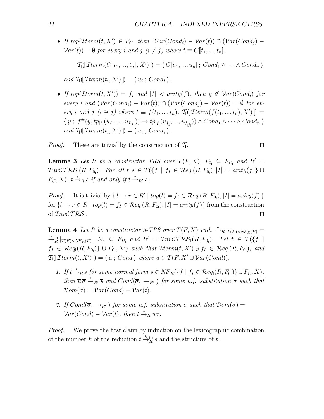• If  $top(\mathcal{I}term(t, X') \in F_C$ , then  $(\mathcal{V}ar(Cond_i) - \mathcal{V}ar(t)) \cap (\mathcal{V}ar(Cond_i) Var(t) = \emptyset$  *for every i and j*  $(i \neq j)$  *where*  $t \equiv C[t_1, ..., t_n]$ *,* 

$$
\mathcal{T}_1(\mathcal{I}term(C[\![t_1, ..., t_n]\!], X')\!]) = \langle C[u_1, ..., u_n]; Cond_1 \wedge \cdots \wedge Cond_n \rangle
$$

and  $\mathcal{T}_1(\mathcal{I}term(t_i, X')) = \langle u_i ; Cond_i \rangle$ .

• If  $top(Term(t, X')) = f_I$  and  $|I| < arity(f)$ , then  $y \notin Var(Cond_i)$  for *every i* and  $(\mathcal{V}ar(Cond_i) - \mathcal{V}ar(t)) \cap (\mathcal{V}ar(Cond_i) - \mathcal{V}ar(t)) = \emptyset$  for ev*ery i* and *j*  $(i \ni j)$  where  $t \equiv f(t_1, ..., t_n)$ ,  $\mathcal{T}_1(\mathcal{I}^{term}(f(t_1, ..., t_n), X'))$  $\langle y; f^{\#}(y, tp_{|I|}(u_{I_1},..., u_{I_{|I|}})) \to tp_{|\hat{I}|}(u_{\hat{I}_1},..., u_{\hat{I}_{|\hat{I}|}})) \land Cond_1 \land \cdots \land Cond_n \rangle$ and  $\mathcal{T}_1(\mathcal{I}term(t_i, X')) = \langle u_i ; Cond_i \rangle$ .

*Proof.* These are trivial by the construction of  $\mathcal{T}_1$ .

**Lemma 3** *Let* R *be a constructor TRS over*  $T(F, X)$ *,*  $F_{0} \subseteq F_{D}$  *and*  $R' =$  $\mathcal{I}nv\mathcal{C}T\mathcal{RS}_{I}(R, F_{0_{I}}).$  For all  $t, s \in T(\lbrace f \mid f_{I} \in \mathcal{R}eq_{I}(R, F_{0_{I}}), |I| = arity(f) \rbrace \cup$  $F_C, X$ ,  $t \stackrel{*}{\rightarrow}_R s$  *if and only if*  $\overline{t} \stackrel{*}{\rightarrow}_{R'} \overline{s}$ .

*Proof.* It is trivial by  $\{ \overline{l} \to \overline{r} \in R' \mid top(l) = f_I \in \mathcal{R}eq_l(R, F_{0_l}), |I| = arity(f) \}$ for  $\{l \to r \in R \mid top(l) = f_I \in \mathcal{R}eq_l(R, F_{0_l}), |I| = arity(f)\}$  from the construction of  $InvCTRS$ <sub>1</sub>.

**Lemma 4** *Let* R *be a constructor 3-TRS over*  $T(F, X)$  *with*  $\stackrel{*}{\rightarrow} R|_{T(F)\times NF_R(F)} =$ <br>\* in  $F$  $\stackrel{*}{\rightarrow}_{R}^{\text{in}}|_{T(F)\times NF_R(F)},$   $F_{0_1} \subseteq F_{D_1}$  and  $R' = InvCTRS_1(R, F_{0_1}).$  Let  $t \in T(\lbrace f \mid$  $f_I \in \mathcal{R}eq_1(R, F_{0_I})\} \cup F_C, X'$  *such that*  $\mathcal{I}term(t, X') \ni f_I \in \mathcal{R}eq_1(R, F_{0_I})$ *, and*  $T_1(\mathcal{I}term(t, X')\,) = \langle \overline{u} ; Cond \rangle$  where  $u \in T(F, X' \cup \mathcal{V}ar(Cond))$ .

- 1. If  $t \stackrel{*}{\rightarrow}_R s$  for some normal form  $s \in NF_R(\{f \mid f_I \in \mathcal{R}eq_1(R, F_{0_I})\} \cup F_C, X)$ , *then*  $\overline{u} \overline{\sigma} \stackrel{*}{\rightarrow}_{R'} \overline{s}$  *and*  $Cond(\overline{\sigma}, \rightarrow_{R'})$  *for some n.f. substitution*  $\sigma$  *such that*  $\mathcal{D}om(\sigma) = \mathcal{V}ar(Cond) - \mathcal{V}ar(t)$ .
- *2. If*  $Cond(\overline{\sigma}, \rightarrow_{R'})$  *for some n.f. substitution*  $\sigma$  *such that*  $Dom(\sigma)$  =  $Var(Cond) - Var(t)$ , then  $t \stackrel{*}{\rightarrow}_R u\sigma$ .

*Proof.* We prove the first claim by induction on the lexicographic combination of the number k of the reduction  $t \stackrel{k}{\rightarrow} \frac{in}{R} s$  and the structure of t.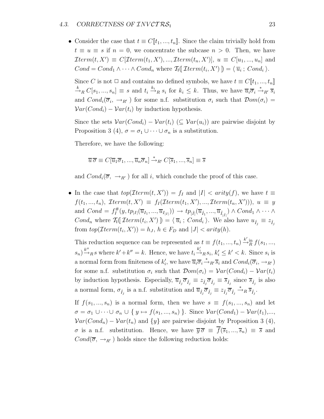• Consider the case that  $t \equiv C[[t_1, ..., t_n]]$ . Since the claim trivially hold from  $t \equiv u \equiv s$  if  $n = 0$ , we concentrate the subcase  $n > 0$ . Then, we have  $\mathcal{I}term(t, X') \equiv C[\mathcal{I}term(t_1, X'), ..., \mathcal{I}term(t_n, X')], u \equiv C[u_1, ..., u_n]$  and  $Cond = Cond_1 \wedge \cdots \wedge Cond_n$  where  $\mathcal{T}_1(\mathcal{I}term(t_i, X')]) = \langle \overline{u}_i ; Cond_i \rangle$ .

Since C is not  $\Box$  and contains no defined symbols, we have  $t \equiv C[[t_1, ..., t_n]]$  $\stackrel{k}{\to}_R C[s_1,...,s_n] \equiv s$  and  $t_i \stackrel{k_i}{\to}_R s_i$  for  $k_i \leq k$ . Thus, we have  $\overline{u}_i \overline{\sigma}_i \stackrel{*}{\to}_{R'} \overline{s}_i$ and  $Cond_i(\overline{\sigma}_i, \rightarrow_{R'})$  for some n.f. substitution  $\sigma_i$  such that  $Dom(\sigma_i)$  =  $Var(Cond_i) - Var(t_i)$  by induction hypothesis.

Since the sets  $Var(Cond_i) - Var(t_i)$  ( $\subseteq Var(u_i)$ ) are pairwise disjoint by Proposition 3 (4),  $\sigma = \sigma_1 \cup \cdots \cup \sigma_n$  is a substitution.

Therefore, we have the following:

$$
\overline{u}\,\overline{\sigma}\equiv C[\overline{u}_1\overline{\sigma}_1,...,\overline{u}_n\overline{\sigma}_n]\stackrel{*}{\rightarrow}_{R'}C[\overline{s}_1,...,\overline{s}_n]\equiv \overline{s}
$$

and  $Cond_i(\overline{\sigma}, \rightarrow_{R'})$  for all i, which conclude the proof of this case.

• In the case that  $top(Item(t, X')) = f_I$  and  $|I| < arity(f)$ , we have  $t \equiv$  $f(t_1, ..., t_n)$ ,  $\mathcal{I}term(t, X') \equiv f_I(\mathcal{I}term(t_1, X'), ..., \mathcal{I}term(t_n, X')))$ ,  $u \equiv y$ and  $Cond = f_I^{\#}(y, tp_{|I|}(\overline{u}_{I_1}, ..., \overline{u}_{I_{|I|}})) \rightarrow tp_{|\hat{I}|}(\overline{u}_{\hat{I}_1}, ..., \overline{u}_{\hat{I}_{|\hat{I}|}}) \wedge Cond_1 \wedge \cdots \wedge$  $Cond_n$  where  $\mathcal{T}_1(\mathcal{I}term(t_i, X')) = \langle \overline{u}_i ; Cond_i \rangle$ . We also have  $u_{\hat{I}_j} \equiv z_{\hat{I}_j}$ from  $top(Item(t_i, X')) = h_J, h \in F_D$  and  $|J| < arity(h)$ .

This reduction sequence can be represented as  $t \equiv f(t_1, ..., t_n) \stackrel{k'}{\rightarrow} \stackrel{k}{R} f(s_1, ..., s_n)$  $(s_n) \xrightarrow{k''}$ <sub>R</sub> s where  $k' + k'' = k$ . Hence, we have  $t_i \xrightarrow{k'_i}$ <sub>R</sub>  $s_i$ ,  $k'_i \leq k' < k$ . Since  $s_i$  is a normal form from finiteness of  $k'_i$ , we have  $\overline{u}_i \overline{\sigma}_i \stackrel{*}{\rightarrow}_{R'} \overline{s}_i$  and  $Cond_i(\overline{\sigma}_i, \rightarrow_{R'})$ for some n.f. substitution  $\sigma_i$  such that  $\mathcal{D}om(\sigma_i) = \mathcal{V}ar(Cond_i) - \mathcal{V}ar(t_i)$ by induction hypothesis. Especially,  $\overline{u}_{\hat{I}_j} \overline{\sigma}_{\hat{I}_j} \equiv z_{\hat{I}_j} \overline{\sigma}_{\hat{I}_j} \equiv \overline{s}_{\hat{I}_j}$  since  $\overline{s}_{\hat{I}_j}$  is also a normal form,  $\sigma_{\hat{I}_j}$  is a n.f. substitution and  $\overline{u}_{\hat{I}_j} \overline{\sigma}_{\hat{I}_j} \equiv z_{\hat{I}_j} \overline{\sigma}_{\hat{I}_j}$  $\stackrel{*}{\longrightarrow}_R \overline{s}_{\hat{I}_j}.$ 

If  $f(s_1, ..., s_n)$  is a normal form, then we have  $s \equiv f(s_1, ..., s_n)$  and let  $\sigma = \sigma_1 \cup \cdots \cup \sigma_n \cup \{y \mapsto f(s_1, ..., s_n)\}\.$  Since  $\mathcal{V}ar(Cond_1) - \mathcal{V}ar(t_1),...$  $Var(Cond_n) - Var(t_n)$  and  $\{y\}$  are pairwise disjoint by Proposition 3 (4),  $\sigma$  is a n.f. substitution. Hence, we have  $\overline{y}\overline{\sigma} \equiv \overline{f}(\overline{s}_1,...,\overline{s}_n) \equiv \overline{s}$  and  $Cond(\overline{\sigma}, \rightarrow_{R'})$  holds since the following reduction holds: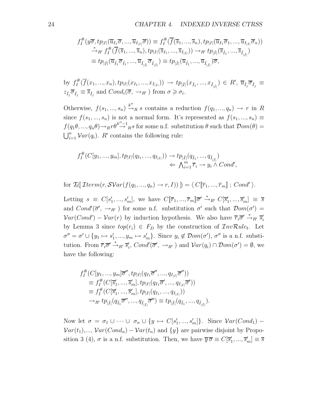$$
f_I^{\#}(y\overline{\sigma},tp_{|I|}(\overline{u}_{I_1}\overline{\sigma},\ldots,\overline{u}_{I_{|I|}}\overline{\sigma})) \equiv f_I^{\#}(\overline{f}(\overline{s}_1,\ldots,\overline{s}_n),tp_{|I|}(\overline{u}_{I_1}\overline{\sigma}_1,\ldots,\overline{u}_{I_{|I|}}\overline{\sigma}_n))
$$
  
\n
$$
\stackrel{*}{\rightarrow}_{R'} f_I^{\#}(\overline{f}(\overline{s}_1,\ldots,\overline{s}_n),tp_{|I|}(\overline{s}_{I_1},\ldots,\overline{s}_{I_{|I|}})) \rightarrow_{R'} tp_{|\hat{I}|}(\overline{s}_{\hat{I}_1},\ldots,\overline{s}_{\hat{I}_{|\hat{I}|}})
$$
  
\n
$$
\equiv tp_{|\hat{I}|}(\overline{u}_{\hat{I}_1}\overline{\sigma}_{\hat{I}_1},\ldots,\overline{u}_{\hat{I}_{|\hat{I}|}}\overline{\sigma}_{\hat{I}_{|\hat{I}|}}) \equiv tp_{|\hat{I}|}(\overline{u}_{\hat{I}_1},\ldots,\overline{u}_{\hat{I}_{|\hat{I}|}})\overline{\sigma},
$$

by 
$$
f_I^{\#}(\overline{f}(x_1, ..., x_n), tp_{|I|}(x_{I_1}, ..., x_{I_{|I|}})) \to tp_{|\hat{I}|}(x_{\hat{I}_1}, ..., x_{\hat{I}_{|\hat{I}|}}) \in R', \overline{u}_{\hat{I}_j} \overline{\sigma}_{\hat{I}_j} \equiv
$$
  
 $z_{\hat{I}_j} \overline{\sigma}_{\hat{I}_j} \equiv \overline{s}_{\hat{I}_j}$  and  $Cond_i(\overline{\sigma}, \to_{R'})$  from  $\sigma \geq \sigma_i$ .

Otherwise,  $f(s_1, ..., s_n) \stackrel{k''}{\rightarrow}_R s$  contains a reduction  $f(q_1, ..., q_n) \rightarrow r$  in R since  $f(s_1, ..., s_n)$  is not a normal form. It's represented as  $f(s_1, ..., s_n) \equiv$  $f(q_1\theta, ..., q_n\theta) \rightarrow_R r\theta^{k'-1}R^s$  for some n.f. substitution  $\theta$  such that  $\mathcal{D}om(\theta) =$  $\bigcup_{i=1}^{n} Var(q_i)$ . R' contains the following rule:

$$
f_I^{\#}(C[y_1, ..., y_m], tp_{|I|}(q_{I_1}, ..., q_{I_{|I|}})) \to tp_{|\hat{I}|}(q_{\hat{I}_1}, ..., q_{\hat{I}_{|\hat{I}|}}) \n\Leftarrow \bigwedge_{i=1}^m \overline{r_i} \to y_i \land Cond',
$$

for  $\mathcal{T}_1(\mathcal{I}term(r, \mathcal{SVar}(f(q_1, ..., q_n) \rightarrow r, I)) \rbrack) = \langle C[\overline{r}_1, ..., \overline{r}_m]; Cond' \rangle.$ 

Letting  $s \equiv C[s'_1, ..., s'_m],$  we have  $C[\overline{r}_1, ..., \overline{r}_m] \overline{\sigma'} \stackrel{*}{\rightarrow}_{R'} C[\overline{s}'_1, ..., \overline{s}'_m] \equiv \overline{s}$ and  $Cond'(\overline{\sigma}', \rightarrow_{R'})$  for some n.f. substitution  $\sigma'$  such that  $Dom(\sigma') =$  $Var(Cond') - Var(r)$  by induction hypothesis. We also have  $\overline{r}_i \overline{\sigma}' \stackrel{*}{\rightarrow}_{R'} \overline{s}'_i$ by Lemma 3 since  $top(r_i) \in F_D$  by the construction of  $InvRule_1$ . Let  $\sigma'' = \sigma' \cup \{y_1 \mapsto s_1', ..., y_m \mapsto s_m'\}.$  Since  $y_i \notin \mathcal{D}om(\sigma'), \sigma''$  is a n.f. substitution. From  $\overline{r}_i \overline{\sigma}' \stackrel{*}{\rightarrow}_{R'} \overline{s}'_i$ ,  $Cond'(\overline{\sigma}', \rightarrow_{R'})$  and  $Var(q_i) \cap Dom(\sigma') = \emptyset$ , we have the following:

$$
f_I^{\#}(C[y_1, ..., y_m]\overline{\sigma}'', tp_{|I|}(q_{I_1}\overline{\sigma}'', ..., q_{I_{|I|}}\overline{\sigma}'))
$$
  
\n
$$
\equiv f_I^{\#}(C[\overline{s}'_1, ..., \overline{s}'_m], tp_{|I|}(q_{I_1}\overline{\sigma}', ..., q_{I_{|I|}}\overline{\sigma}'))
$$
  
\n
$$
\equiv f_I^{\#}(C[\overline{s}'_1, ..., \overline{s}'_m], tp_{|I|}(q_{I_1}, ..., q_{I_{|I|}}))
$$
  
\n
$$
\rightarrow_{R'} tp_{|I|}(q_{I_1}\overline{\sigma}'', ..., q_{\widehat{I_{|I|}}}\overline{\sigma}'') \equiv tp_{|I|}(q_{I_1}, ..., q_{\widehat{I_{|I|}}}).
$$

Now let  $\sigma = \sigma_1 \cup \cdots \cup \sigma_n \cup \{y \mapsto C[s'_1, ..., s'_m]\}$ . Since  $Var(Cond_1)$  –  $Var(t_1),..., Var(Cond_n) - Var(t_n)$  and  $\{y\}$  are pairwise disjoint by Proposition 3 (4),  $\sigma$  is a n.f. substitution. Then, we have  $\overline{y}\overline{\sigma} \equiv C[\overline{s}_1',...,\overline{s}_m'] \equiv \overline{s}$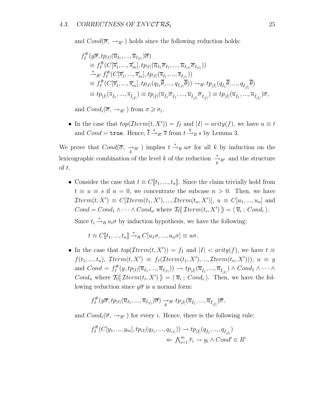and  $Cond(\overline{\sigma}, \rightarrow_{R'})$  holds since the following reduction holds:

$$
f_I^{\#}(y\overline{\sigma},tp_{|I|}(\overline{u}_{I_1},...,\overline{u}_{I_{|I|}})\overline{\sigma})
$$
  
\n
$$
\equiv f_I^{\#}(C[\overline{s}_1',...,\overline{s}_m'],tp_{|I|}(\overline{u}_{I_1}\overline{\sigma}_{I_1},...,\overline{u}_{I_{|I|}}\overline{\sigma}_{I_{|I|}}))
$$
  
\n
$$
\stackrel{*}{\rightarrow}_{R'} f_I^{\#}(C[\overline{s}_1',...,\overline{s}_m'],tp_{|I|}(\overline{s}_{I_1},...,\overline{s}_{I_{|I|}}))
$$
  
\n
$$
\equiv f_I^{\#}(C[\overline{s}_1',...,\overline{s}_m'],tp_{|I|}(q_{I_1}\overline{\theta},...,q_{I_{|I|}}\overline{\theta})) \rightarrow_{R'} tp_{|\hat{I}|}(q_{\hat{I}_1}\overline{\theta},...,q_{\hat{I}_{|\hat{I}|}}\overline{\theta})
$$
  
\n
$$
\equiv tp_{|\hat{I}|}(\overline{s}_{\hat{I}_1},...,\overline{s}_{\hat{I}_{|\hat{I}|}}) \equiv tp_{|\hat{I}|}(\overline{u}_{\hat{I}_1}\overline{\sigma}_{\hat{I}_1},...,\overline{u}_{\hat{I}_{|\hat{I}|}}) \equiv tp_{|\hat{I}|}(\overline{u}_{\hat{I}_1},...,\overline{u}_{\hat{I}_{|\hat{I}|}})\overline{\sigma},
$$

and  $Cond_i(\overline{\sigma}, \rightarrow_{R'})$  from  $\sigma \geq \sigma_i$ .

• In the case that  $top(Item(t, X')) = f_I$  and  $|I| = arity(f)$ , we have  $u \equiv t$ and  $Cond = \text{true}$ . Hence,  $\overline{t} \stackrel{*}{\rightarrow}_{R'} \overline{s}$  from  $t \stackrel{k}{\rightarrow}_R s$  by Lemma 3.

We prove that Cond(σ, →<sup>k</sup> <sup>R</sup> ) implies t <sup>∗</sup> →<sup>R</sup> uσ for all k by induction on the lexicographic combination of the level k of the reduction  $\frac{*}{k}R'$  and the structure of t.

• Consider the case that  $t \equiv C[[t_1, ..., t_n]]$ . Since the claim trivially hold from  $t \equiv u \equiv s$  if  $n = 0$ , we concentrate the subcase  $n > 0$ . Then, we have  $\mathcal{I}term(t, X') \equiv C[\mathcal{I}term(t_1, X'), ..., \mathcal{I}term(t_n, X')], u \equiv C[u_1, ..., u_n]$  and  $Cond = Cond_1 \wedge \cdots \wedge Cond_n$  where  $\mathcal{T}_1(\mathcal{I}term(t_i, X')]) = \langle \overline{u}_i ; Cond_i \rangle$ .

Since  $t_i \stackrel{*}{\rightarrow}_R u_i \sigma$  by induction hypothesis, we have the following:

$$
t \equiv C[\![t_1, ..., t_n]\!] \stackrel{*}{\rightarrow}_R C[\![u_1 \sigma, ..., u_n \sigma]\!] \equiv u \sigma.
$$

• In the case that  $top(Item(t, X')) = f_I$  and  $|I| < arity(f)$ , we have  $t \equiv$  $f(t_1, ..., t_n)$ ,  $\mathcal{I}term(t, X') \equiv f_I(\mathcal{I}term(t_1, X'), ..., \mathcal{I}term(t_n, X')))$ ,  $u \equiv y$ and  $Cond = f_I^{\#}(y, tp_{|I|}(\overline{u}_{I_1},...,\overline{u}_{I_{|I|}})) \rightarrow tp_{|\hat{I}|}(\overline{u}_{\hat{I}_1},...,\overline{u}_{\hat{I}_{|\hat{I}|}}) \wedge Cond_1 \wedge \cdots \wedge$ Cond<sub>n</sub> where  $\mathcal{T}_1(\mathcal{I}term(t_i, X')) = \langle \overline{u}_i ; Cond_i \rangle$ . Then, we have the following reduction since  $y\overline{\sigma}$  is a normal form:

$$
f_I^{\#}(y\overline{\sigma},tp_{|I|}(\overline{u}_{I_1},...,\overline{u}_{I_{|I|}})\overline{\sigma}) \longrightarrow_R t' p_{|\hat{I}|}(\overline{u}_{\hat{I}_1},...,\overline{u}_{\hat{I}_{|\hat{I}|}})\overline{\sigma},
$$

and  $Cond_i(\overline{\sigma}, \rightarrow_{R'})$  for every *i*. Hence, there is the following rule:

$$
f_I^{\#}(C[y_1, ..., y_m], tp_{|I|}(q_{I_1}, ..., q_{I_{|I|}})) \to tp_{|\hat{I}|}(q_{\hat{I}_1}, ..., q_{\hat{I}_{|\hat{I}|}})
$$
  

$$
\Leftarrow \bigwedge_{i=1}^m \overline{r}_i \to y_i \land Cond' \in R'
$$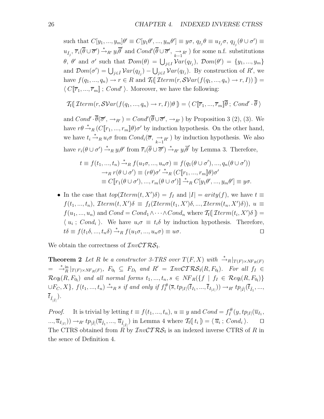such that  $C[y_1, ..., y_m]\theta' \equiv C[y_1\theta', ..., y_m\theta'] \equiv y\sigma, q_{I_j}\theta \equiv u_{I_j}\sigma, q_{\hat{I}_j}(\theta \cup \sigma') \equiv$  $u_{\hat{I}_j}$ ,  $\overline{r}_i(\overline{\theta} \cup \overline{\sigma}') \stackrel{*}{\rightarrow}_{R'} y_i \overline{\theta}'$  and  $Cond'(\overline{\theta} \cup \overline{\sigma}', \underset{k-1}{\rightarrow}_{R'} )$  for some n.f. substitutions  $\theta$ ,  $\theta'$  and  $\sigma'$  such that  $\mathcal{D}om(\theta) = \bigcup_{j\in I} \mathcal{V}ar(q_{I_j}), \ \mathcal{D}om(\theta') = \{y_1, ..., y_m\}$ and  $\mathcal{D}om(\sigma') = \bigcup_{j \in \hat{I}} \mathcal{V}ar(q_{\hat{I}_j}) - \bigcup_{j \in I} \mathcal{V}ar(q_{I_j})$ . By construction of  $R'$ , we have  $f(q_1, ..., q_n) \to r \in R$  and  $\mathcal{T}_1(\mathcal{I}term(r, \mathcal{SVar}(f(q_1, ..., q_n) \to r, I)))$  $\langle C[\overline{r}_1, ..., \overline{r}_m]$ ;  $Cond'$ ). Moreover, we have the following:

$$
\mathcal{T}_1(\mathcal{I}term(r, \mathcal{SVar}(f(q_1, ..., q_n) \to r, I))\theta) = \langle C[\overline{r}_1, ..., \overline{r}_m]\overline{\theta}; Cond' \cdot \overline{\theta}\rangle
$$

and  $Cond'\cdot\overline{\theta}(\overline{\sigma}',\rightarrow_{R'})=Cond'(\overline{\theta}\cup\overline{\sigma}',\rightarrow_{R'})$  by Proposition 3 (2), (3). We have  $r\theta \stackrel{*}{\rightarrow}_R (C[\![r_1, ..., r_m]\!]\theta)\sigma'$  by induction hypothesis. On the other hand, we have  $t_i \stackrel{*}{\to}_R u_i \sigma$  from  $Cond_i(\overline{\sigma}, \overline{\underset{k-1}{\to}}_{R'})$  by induction hypothesis. We also have  $r_i(\theta \cup \sigma') \stackrel{*}{\rightarrow}_R y_i \theta'$  from  $\overline{r}_i(\overline{\theta} \cup \overline{\sigma}') \stackrel{*}{\rightarrow}_{R'} y_i \overline{\theta}'$  by Lemma 3. Therefore,

$$
t \equiv f(t_1, ..., t_n) \stackrel{*}{\rightarrow}_R f(u_1\sigma, ..., u_n\sigma) \equiv f(q_1(\theta \cup \sigma'), ..., q_n(\theta \cup \sigma'))
$$
  
\n
$$
\rightarrow_R r(\theta \cup \sigma') \equiv (r\theta)\sigma' \stackrel{*}{\rightarrow}_R (C[\![r_1, ..., r_m]\!]\theta)\sigma'
$$
  
\n
$$
\equiv C[\![r_1(\theta \cup \sigma'), ..., r_m(\theta \cup \sigma')]\!] \stackrel{*}{\rightarrow}_R C[y_1\theta', ..., y_m\theta'] \equiv y\sigma.
$$

• In the case that  $top(Item(t, X')\delta) = f_I$  and  $|I| = arity(f)$ , we have  $t \equiv$  $f(t_1, ..., t_n)$ ,  $\mathcal{I}term(t, X')\delta \equiv f_I(\mathcal{I}term(t_1, X')\delta, ..., \mathcal{I}term(t_n, X')\delta)$ ,  $u \equiv$  $f(u_1, ..., u_n)$  and  $Cond = Cond_1 \wedge \cdots \wedge Cond_n$  where  $\mathcal{T}_1(\mathcal{I}term(t_i, X')\delta)$  $\langle u_i : Cond_i \rangle$ . We have  $u_i \sigma \equiv t_i \delta$  by induction hypothesis. Therefore,  $t\delta \equiv f(t_1\delta, ..., t_n\delta) \stackrel{*}{\rightarrow}_R f(u_1\sigma, ..., u_n\sigma) \equiv u\sigma.$ 

We obtain the correctness of  $InvCTRS$ .

**Theorem 2** *Let* R *be a constructor 3-TRS over*  $T(F, X)$  *with*  $\stackrel{*}{\rightarrow} R|_{T(F)\times NF_R(F)}$  $= \int_{-R}^{R} |T(F) \times NF_R(F)$ ,  $F_{0_1} \subseteq F_{D_1}$  and  $R' = \text{InvCTRS}_1(R, F_{0_1})$ . For all  $f_I \in$  $\mathcal{R}eq_{1}(R, F_{0_{1}})$  and all normal forms  $t_{1},..., t_{n}, s \in NF_{R}(\lbrace f \mid f_{I} \in \mathcal{R}eq_{1}(R, F_{0_{1}}) \rbrace$  $\cup F_C, X$ ,  $f(t_1, ..., t_n) \stackrel{*}{\rightarrow}_R s$  *if and only if*  $f_I^{\#}(\overline{s}, tp_{|I|}(\overline{t}_{I_1}, ..., \overline{t}_{I_{|I|}})) \rightarrow_{R'} tp_{|I|}(\overline{t}_{I_1}, ..., I_{I_{|I|}})$  $\overline{t}_{\hat{I}_{|\hat{I}|}}).$ 

*Proof.* It is trivial by letting  $t \equiv f(t_1, ..., t_n)$ ,  $u \equiv y$  and  $Cond = f_I^{\#}(y, tp_{|I|}(\overline{u}_{I_1},$  $\overline{u}_{I_{|I|}}) \rightarrow_{R'} tp_{|\hat{I}|}(\overline{u}_{\hat{I}_1},...,\overline{u}_{\hat{I}_{|\hat{I}|}})$  in Lemma 4 where  $\mathcal{T}_{I}(\lbrace t_i \rbrace) = \langle \overline{u}_i ; \text{Cond}_i \rangle.$ The CTRS obtained from R by  $InvCTRS_1$  is an indexed inverse CTRS of R in the sence of Definition 4.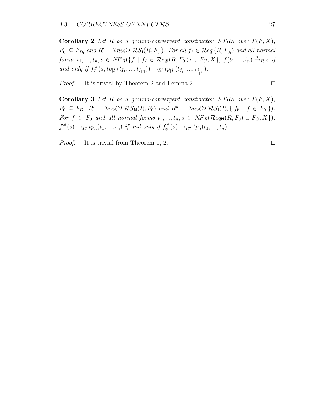**Corollary 2** Let R be a ground-convergent constructor 3-TRS over  $T(F, X)$ ,  $F_{0_1} \subseteq F_{D_1}$  and  $R' = \mathcal{I}nv\mathcal{CTRS}_1(R, F_{0_1})$ . For all  $f_I \in \mathcal{R}eq_1(R, F_{0_1})$  and all normal *forms*  $t_1, ..., t_n, s \in NF_R(\{f \mid f_I \in \mathcal{R}eq_l(R, F_{0_l})\} \cup F_C, X\}, f(t_1, ..., t_n) \stackrel{*}{\rightarrow}_R s \; \text{if}$ *and only if*  $f_I^{\#}(\overline{s}, tp_{|I|}(\overline{t}_{I_1}, ..., \overline{t}_{I_{|I|}})) \rightarrow_{R'} tp_{|\hat{I}|}(\overline{t}_{\hat{I}_1}, ..., \overline{t}_{\hat{I}_{|\hat{I}|}}).$ 

*Proof.* It is trivial by Theorem 2 and Lemma 2. □

**Corollary 3** Let R be a ground-convergent constructor 3-TRS over  $T(F, X)$ ,  $F_0 \subseteq F_D$ ,  $R' = \mathcal{I}nv\mathcal{C} \mathcal{T} \mathcal{R} \mathcal{S}_N(R, F_0)$  and  $R'' = \mathcal{I}nv\mathcal{C} \mathcal{T} \mathcal{R} \mathcal{S}_1(R, \{f_0 \mid f \in F_0\}).$ *For*  $f \in F_0$  *and all normal forms*  $t_1, ..., t_n, s \in NF_R(\mathcal{R}eq_\mathsf{N}(R, F_0) \cup F_C, X)$ ,  $f^{\#}(s) \to_{R'} tp_n(t_1, ..., t_n)$  *if and only if*  $f_{\emptyset}^{\#}(\overline{s}) \to_{R''} tp_n(\overline{t}_1, ..., \overline{t}_n)$ .

*Proof.* It is trivial from Theorem 1, 2. □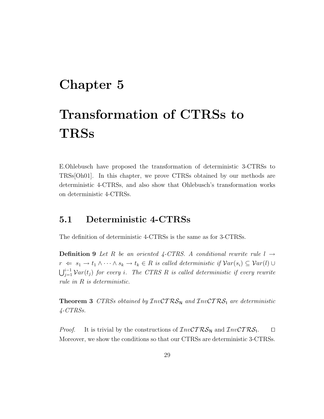### **Chapter 5**

# **Transformation of CTRSs to TRSs**

E.Ohlebusch have proposed the transformation of deterministic 3-CTRSs to TRSs[Oh01]. In this chapter, we prove CTRSs obtained by our methods are deterministic 4-CTRSs, and also show that Ohlebusch's transformation works on deterministic 4-CTRSs.

#### **5.1 Deterministic 4-CTRSs**

The definition of deterministic 4-CTRSs is the same as for 3-CTRSs.

**Definition 9** Let R be an oriented 4-CTRS. A conditional rewrite rule  $l \rightarrow$  $r \Leftarrow s_1 \rightarrow t_1 \wedge \cdots \wedge s_k \rightarrow t_k \in R$  *is called deterministic if*  $Var(s_i) \subseteq Var(l) \cup$  $\bigcup_{j=1}^{i-1} \mathcal{V}ar(t_j)$  for every *i*. The CTRS R is called deterministic if every rewrite *rule in* R *is deterministic.*

**Theorem 3** *CTRSs obtained by*  $InvCTRS_N$  *and*  $InvCTRS_1$  *are deterministic 4-CTRSs.*

*Proof.* It is trivial by the constructions of  $\mathcal{I}nv\mathcal{C}TRS_N$  and  $\mathcal{I}nv\mathcal{C}TRS_1$ .  $\square$ Moreover, we show the conditions so that our CTRSs are deterministic 3-CTRSs.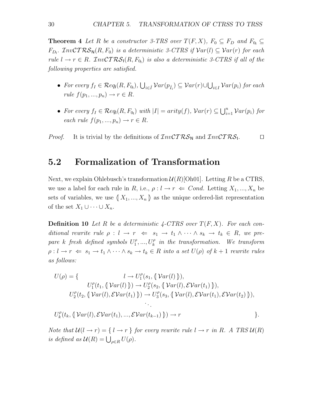**Theorem 4** *Let* R *be a constructor 3-TRS over*  $T(F, X)$ *,*  $F_0 \subseteq F_D$  *and*  $F_{0} \subseteq$  $F_{D_l}$ .  $\mathcal{I}nvCTRS_N(R, F_0)$  *is a deterministic 3-CTRS if*  $Var(l) \subseteq Var(r)$  *for each*  $rule \ l \rightarrow r \in R$ .  $InvCTRS_1(R, F_{0_1})$  *is also a deterministic 3-CTRS if all of the following properties are satisfied.*

- *For every*  $f_I \in \mathcal{R}eq_l(R, F_{0_l}), \bigcup_{i \in \hat{I}} \mathcal{V}ar(p_{\hat{I}_i}) \subseteq \mathcal{V}ar(r) \cup \bigcup_{i \in I} \mathcal{V}ar(p_i)$  *for each rule*  $f(p_1, ..., p_n) \to r \in R$ .
- For every  $f_I \in \mathcal{R}eq_1(R, F_{0_I})$  with  $|I| = arity(f), Var(r) \subseteq \bigcup_{i=1}^n Var(p_i)$  for *each rule*  $f(p_1, ..., p_n) \rightarrow r \in R$ .

*Proof.* It is trivial by the definitions of  $InvCTRS_N$  and  $InvCTRS_1$ .

#### **5.2 Formalization of Transformation**

Next, we explain Ohlebusch's transformation  $\mathcal{U}(R)[\text{Oh}01]$ . Letting R be a CTRS, we use a label for each rule in R, i.e.,  $\rho: l \to r \Leftrightarrow Cond.$  Letting  $X_1, ..., X_n$  be sets of variables, we use  $\{X_1, ..., X_n\}$  as the unique ordered-list representation of the set  $X_1 \cup \cdots \cup X_n$ .

**Definition 10** Let R be a deterministic  $\angle$ -CTRS over  $T(F, X)$ . For each conditional rewrite rule  $\rho: l \to r \Leftrightarrow s_1 \to t_1 \wedge \cdots \wedge s_k \to t_k \in R$ , we pre- $\emph{pare}$  k fresh defined symbols  $U_1^{\rho},...,U_k^{\rho}$  in the transformation. We transform  $\rho: l \to r \Leftrightarrow s_1 \to t_1 \wedge \cdots \wedge s_k \to t_k \in R$  *into a set*  $U(\rho)$  *of*  $k+1$  *rewrite rules as follows:*

$$
U(\rho) = \{ \qquad l \to U_1^{\rho}(s_1, \langle \nabla ar(l) \rangle),
$$
  
\n
$$
U_1^{\rho}(t_1, \langle \nabla ar(l) \rangle) \to U_2^{\rho}(s_2, \langle \nabla ar(l), \mathcal{E} \nabla ar(l_1) \rangle),
$$
  
\n
$$
U_2^{\rho}(t_2, \langle \nabla ar(l), \mathcal{E} \nabla ar(l_1) \rangle) \to U_3^{\rho}(s_3, \langle \nabla ar(l), \mathcal{E} \nabla ar(l_1), \mathcal{E} \nabla ar(l_2) \rangle),
$$

$$
U_k^{\rho}(t_k, \langle \nabla ar(l), \mathcal{E} \mathcal{V}ar(t_1), ..., \mathcal{E} \mathcal{V}ar(t_{k-1}) \rangle) \rightarrow r
$$
 \n
$$
\}.
$$

*Note that*  $\mathcal{U}(l \to r) = \{ l \to r \}$  *for every rewrite rule*  $l \to r$  *in* R. A TRS  $\mathcal{U}(R)$ *is defined as*  $\mathcal{U}(R) = \bigcup_{\rho \in R} U(\rho)$ .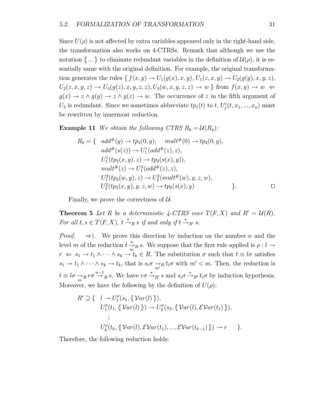Since  $U(\rho)$  is not affected by extra variables appeared only in the right-hand side, the transformation also works on 4-CTRSs. Remark that although we use the notation  $\langle \dots \rangle$  to eliminate redundant variables in the definition of  $\mathcal{U}(\rho)$ , it is essentially same with the original definition. For example, the original transformation generates the rules { $f(x, y) \rightarrow U_1(g(x), x, y)$ ,  $U_1(z, x, y) \rightarrow U_2(g(y), x, y, z)$ ,  $U_2(z, x, y, z) \rightarrow U_3(g(z), x, y, z, z), U_3(w, x, y, z, z) \rightarrow w$  from  $f(x, y) \rightarrow w$  $g(x) \to z \wedge g(y) \to z \wedge g(z) \to w$ . The occurrence of z in the fifth argument of  $U_3$  is redundant. Since we sometimes abbreviate  $tp_1(t)$  to t,  $U^i_j(t, x_1, ..., x_n)$  must be rewritten by innermost reduction.

**Example 11** We obtain the following CTRS  $R_6 = U(R_4)$ :

$$
R_6 = \{ \quad add^{\#}(y) \rightarrow tp_2(0, y), \quad mult^{\#}(0) \rightarrow tp_2(0, y), add^{\#}(s(z)) \rightarrow U_1^1(add^{\#}(z), z), U_1^1(tp_2(x, y), z) \rightarrow tp_2(s(x), y)), mult^{\#}(z) \rightarrow U_1^2(add^{\#}(z), z), U_1^2(tp_2(w, y), z) \rightarrow U_2^2(mult^{\#}(w), y, z, w), U_2^2(tp_2(x, y), y, z, w) \rightarrow tp_2(s(x), y)
$$

Finally, we prove the correctness of  $\mathcal{U}$ .

**Theorem 5** Let R be a deterministic 4-CTRS over  $T(F, X)$  and  $R' = U(R)$ . *For all*  $t, s \in T(F, X)$ ,  $t \stackrel{*}{\rightarrow}_R s$  *if and only if*  $t \stackrel{*}{\rightarrow}_{R'} s$ .

*Proof.*  $\Rightarrow$ ). We prove this direction by induction on the number n and the level m of the reduction  $t \frac{n}{m}$  s. We suppose that the first rule applied is  $\rho: l \to$  $r \Leftarrow s_1 \rightarrow t_1 \land \cdots \land s_k \rightarrow t_k \in R$ . The substitution  $\sigma$  such that  $t \equiv l\sigma$  satisfies  $s_1 \to t_1 \wedge \cdots \wedge s_k \to t_k$ , that is  $s_i \sigma \to_R t_i \sigma$  with  $m' < m$ . Then, the reduction is  $t \equiv l\sigma \rightarrow_R r\sigma \rightarrow R \ s$ . We have  $r\sigma \rightarrow_{R'} s$  and  $s_i \sigma \rightarrow_{R'} t_i \sigma$  by induction hypothesis. Moreover, we have the following by the definition of  $U(\rho)$ :

$$
R' \supseteq \{ \quad l \to U_1^{\rho}(s_1, \{\mathcal{Var}(l)\}),
$$
  
\n
$$
U_1^{\rho}(t_1, \{\mathcal{Var}(l)\}) \to U_2^{\rho}(s_2, \{\mathcal{Var}(l), \mathcal{EVar}(t_1)\}),
$$
  
\n
$$
\vdots
$$
  
\n
$$
U_k^{\rho}(t_k, \{\mathcal{Var}(l), \mathcal{EVar}(t_1), ..., \mathcal{EVar}(t_{k-1})\}) \to r \}.
$$

Therefore, the following reduction holds: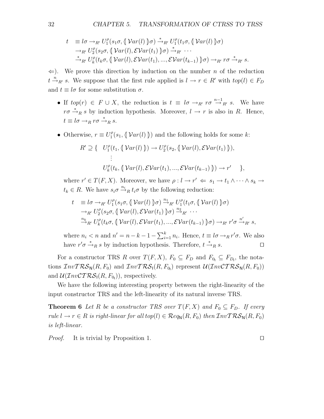$$
t \equiv l\sigma \rightarrow_{R'} U_1^{\rho}(s_1\sigma, \langle \nabla ar(l) \rangle \sigma) \stackrel{*}{\rightarrow}_{R'} U_1^{\rho}(t_1\sigma, \langle \nabla ar(l) \rangle \sigma)
$$
  
\n
$$
\rightarrow_{R'} U_2^{\rho}(s_2\sigma, \langle \nabla ar(l), \mathcal{E} \mathcal{V}ar(t_1) \rangle \sigma) \stackrel{*}{\rightarrow}_{R'} \cdots
$$
  
\n
$$
\stackrel{*}{\rightarrow}_{R'} U_k^{\rho}(t_k\sigma, \langle \nabla ar(l), \mathcal{E} \mathcal{V}ar(t_1), ..., \mathcal{E} \mathcal{V}ar(t_{k-1}) \rangle \sigma) \rightarrow_{R'} r\sigma \stackrel{*}{\rightarrow}_{R'} s.
$$

 $\Leftarrow$ ). We prove this direction by induction on the number *n* of the reduction  $t \stackrel{n}{\rightarrow}_{R'} s$ . We suppose that the first rule applied is  $l \rightarrow r \in R'$  with  $top(l) \in F_D$ and  $t \equiv l\sigma$  for some substitution  $\sigma$ .

- If  $top(r) \in F \cup X$ , the reduction is  $t \equiv l\sigma \rightarrow_{R'} r\sigma \stackrel{n-1}{\rightarrow}_{R'} s$ . We have  $r\sigma \stackrel{*}{\rightarrow}_R s$  by induction hypothesis. Moreover,  $l \rightarrow r$  is also in R. Hence,  $t \equiv l\sigma \rightarrow_R r\sigma \stackrel{*}{\rightarrow}_R s.$
- Otherwise,  $r \equiv U_1^{\rho}(s_1, \{\text{Var}(l)\})$  and the following holds for some k:

$$
R' \supseteq \{ U_1^{\rho}(t_1, \{\mathcal{Var}(l)\}) \to U_2^{\rho}(s_2, \{\mathcal{Var}(l), \mathcal{EVar}(t_1)\}),
$$
  
 
$$
\vdots
$$
  
 
$$
U_k^{\rho}(t_k, \{\mathcal{Var}(l), \mathcal{EVar}(t_1), ..., \mathcal{EVar}(t_{k-1})\}) \to r' \},
$$

where  $r' \in T(F, X)$ . Moreover, we have  $\rho: l \to r' \Leftarrow s_1 \to t_1 \land \cdots \land s_k \to$  $t_k \in R$ . We have  $s_i \sigma \stackrel{n_i}{\rightarrow}_R t_i \sigma$  by the following reduction:

$$
t \equiv l\sigma \rightarrow_{R'} U_1^{\rho}(s_1\sigma, \langle \nabla ar(l) \rangle \sigma) \stackrel{n_1}{\rightarrow}_{R'} U_1^{\rho}(t_1\sigma, \langle \nabla ar(l) \rangle \sigma)
$$
  
\n
$$
\rightarrow_{R'} U_2^{\rho}(s_2\sigma, \langle \nabla ar(l), \mathcal{E} \mathcal{V}ar(t_1) \rangle \sigma) \stackrel{n_2}{\rightarrow}_{R'} \cdots
$$
  
\n
$$
\stackrel{n_k}{\rightarrow}_{R'} U_k^{\rho}(t_k\sigma, \langle \nabla ar(l), \mathcal{E} \mathcal{V}ar(t_1), ..., \mathcal{E} \mathcal{V}ar(t_{k-1}) \rangle \sigma) \rightarrow_{R'} r'\sigma \stackrel{n'}{\rightarrow}_{R'} s,
$$

where  $n_i < n$  and  $n' = n - k - 1 - \sum_{i=1}^{k} n_i$ . Hence,  $t \equiv l\sigma \rightarrow_R r'\sigma$ . We also have  $r' \sigma \stackrel{*}{\rightarrow}_R s$  by induction hypothesis. Therefore,  $t \stackrel{*}{\rightarrow}_R s$ .

For a constructor TRS R over  $T(F, X)$ ,  $F_0 \subseteq F_D$  and  $F_{0_1} \subseteq F_{D_1}$ , the notations  $\mathcal{I}nvT\mathcal{RS}_{\mathsf{N}}(R,F_0)$  and  $\mathcal{I}nvT\mathcal{RS}_{\mathsf{I}}(R,F_{0_l})$  represent  $\mathcal{U}(\mathcal{I}nv\mathcal{CTRS}_{\mathsf{N}}(R,F_0))$ and  $\mathcal{U}(\mathcal{I}nv\mathcal{C}\mathcal{T}\mathcal{RS}_{I}(R, F_{0_I}))$ , respectively.

We have the following interesting property between the right-linearity of the input constructor TRS and the left-linearity of its natural inverse TRS.

**Theorem 6** Let R be a constructor TRS over  $T(F, X)$  and  $F_0 \subseteq F_D$ . If every *rule*  $l \to r \in R$  *is right-linear for all top*( $l$ )  $\in \mathcal{R}e q_{\mathsf{N}}(R, F_0)$  *then*  $\mathcal{I}nvTRS_{\mathsf{N}}(R, F_0)$ *is left-linear.*

*Proof.* It is trivial by Proposition 1. □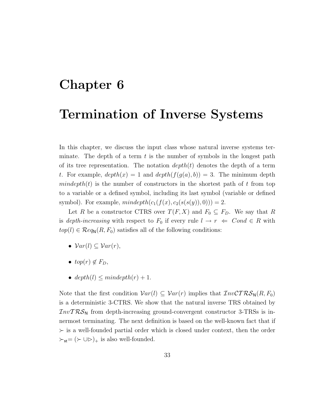### **Chapter 6**

### **Termination of Inverse Systems**

In this chapter, we discuss the input class whose natural inverse systems terminate. The depth of a term  $t$  is the number of symbols in the longest path of its tree representation. The notation  $depth(t)$  denotes the depth of a term t. For example,  $depth(x) = 1$  and  $depth(f(g(a), b)) = 3$ . The minimum depth mindepth(t) is the number of constructors in the shortest path of t from top to a variable or a defined symbol, including its last symbol (variable or defined symbol). For example,  $mindepth(c_1(f(x), c_2(s(s(y)), 0))) = 2$ .

Let R be a constructor CTRS over  $T(F, X)$  and  $F_0 \subseteq F_D$ . We say that R is *depth-increasing* with respect to  $F_0$  if every rule  $l \rightarrow r \Leftarrow Cond \in R$  with  $top(l) \in \mathcal{R}eq_{\mathbb{N}}(R, F_0)$  satisfies all of the following conditions:

- $Var(l) \subseteq Var(r)$ ,
- $top(r) \notin F_D$ ,
- depth(l)  $\leq$  mindepth(r) + 1.

Note that the first condition  $Var(l) \subseteq Var(r)$  implies that  $InvCTRS_N(R, F_0)$ is a deterministic 3-CTRS. We show that the natural inverse TRS obtained by  $InvTRS<sub>N</sub>$  from depth-increasing ground-convergent constructor 3-TRSs is innermost terminating. The next definition is based on the well-known fact that if  $\succ$  is a well-founded partial order which is closed under context, then the order  $\succ_{\mathsf{st}} = (\succ \cup \rhd)_+$  is also well-founded.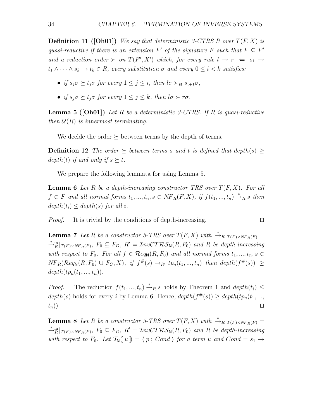**Definition 11 ([Oh01])** We say that deterministic 3-CTRS R over  $T(F, X)$  is *quasi-reductive if there is an extension*  $F'$  *of the signature*  $F$  *such that*  $F \subseteq F'$ *and a reduction order*  $\succ$  *on*  $T(F', X')$  *which, for every rule*  $l \rightarrow r \leq s_1 \rightarrow$  $t_1 \wedge \cdots \wedge s_k \rightarrow t_k \in R$ , every substitution  $\sigma$  and every  $0 \leq i < k$  satisfies:

- *if*  $s_i \sigma \succ t_j \sigma$  for every  $1 \leq j \leq i$ , then  $l \sigma \succ_{st} s_{i+1} \sigma$ ,
- *if*  $s_i \sigma \succ t_j \sigma$  for every  $1 \leq j \leq k$ , then  $l \sigma \succ r \sigma$ .

**Lemma 5 ([Oh01])** *Let* R *be a deterministic 3-CTRS. If* R *is quasi-reductive then*  $U(R)$  *is innermost terminating.* 

We decide the order  $\succeq$  between terms by the depth of terms.

**Definition 12** *The order*  $\succeq$  *between terms* s and t is defined that depth(s)  $\geq$ depth(t) if and only if  $s \succeq t$ .

We prepare the following lemmata for using Lemma 5.

**Lemma 6** Let R be a depth-increasing constructor TRS over  $T(F, X)$ . For all  $f \in F$  and all normal forms  $t_1, ..., t_n, s \in NF_R(F, X)$ , if  $f(t_1, ..., t_n) \stackrel{*}{\rightarrow}_R s$  then  $depth(t_i) \leq depth(s)$  *for all i.* 

*Proof.* It is trivial by the conditions of depth-increasing.

**Lemma 7** *Let* R *be a constructor 3-TRS over*  $T(F, X)$  *with*  $\stackrel{*}{\rightarrow} R|_{T(F)\times NF_R(F)} =$ <br>\* in  $F$  $\rightarrow_R^*$   $\vert_{T(F)\times NF_R(F)}$ ,  $F_0 \subseteq F_D$ ,  $R' = \mathcal{I}nv\mathcal{C}T\mathcal{R}\mathcal{S}_N(R, F_0)$  and R be depth-increasing *with respect to*  $F_0$ *. For all*  $f \in \mathcal{R}eq_{\mathbb{N}}(R, F_0)$  *and all normal forms*  $t_1, ..., t_n, s \in$  $NF_R(\mathcal{R}eq_\mathsf{N}(R, F_0) \cup F_C, X),$  if  $f^{\#}(s) \rightarrow_{R'} tp_n(t_1, ..., t_n)$  then depth $(f^{\#}(s)) \ge$  $depth(tp_n(t_1, ..., t_n)).$ 

*Proof.* The reduction  $f(t_1, ..., t_n) \stackrel{*}{\rightarrow}_R s$  holds by Theorem 1 and  $depth(t_i) \leq$ depth(s) holds for every i by Lemma 6. Hence,  $depth(f^*(s)) \geq depth(tp_n(t_1,...,t_n))$  $(t_n)$ ).

**Lemma 8** *Let* R *be a constructor 3-TRS over*  $T(F, X)$  *with*  $\stackrel{*}{\rightarrow} R|_{T(F)\times NF_R(F)} =$ <br>\* in  $F$  $\rightarrow_R^*$ <sup>in</sup><sub>R</sub> $|_{T(F)\times NF_R(F)}$ ,  $F_0 \subseteq F_D$ ,  $R' = \mathcal{I}nv\mathcal{C}T\mathcal{R}\mathcal{S}_N(R, F_0)$  and R be depth-increasing *with respect to*  $F_0$ *. Let*  $\mathcal{T}_N(\lbrace u \rbrace) = \langle p ; Cond \rangle$  *for a term u and Cond* =  $s_1 \rightarrow$ 

$$
\overline{\Box}
$$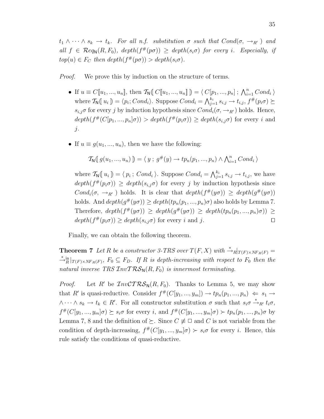$t_1 \wedge \cdots \wedge s_k \rightarrow t_k$ *. For all n.f. substitution*  $\sigma$  *such that*  $Cond(\sigma, \rightarrow_{R'})$  *and all*  $f \in \mathcal{R}eq_{\mathbb{N}}(R, F_0)$ ,  $depth(f^{\#}(p\sigma)) \geq depth(s_i\sigma)$  *for every i. Especially, if*  $top(u) \in F_C$  then  $depth(f^*(p\sigma)) > depth(s_i\sigma)$ .

*Proof.* We prove this by induction on the structure of terms.

- If  $u \equiv C[\![u_1, ..., u_n]\!]$ , then  $\mathcal{T}_{\mathsf{N}}(\![C[\![u_1, ..., u_n]\!]) = \langle C[p_1, ..., p_n] \, ; \, \bigwedge_{i=1}^n Cond_i \rangle$ where  $\mathcal{T}_{\mathsf{N}}(\llbracket u_i \rrbracket) = \langle p_i; Cond_i \rangle$ . Suppose  $Cond_i = \bigwedge_{j=1}^{k_i} s_{i,j} \to t_{i,j}, f^{\#}(p_i \sigma) \succeq$  $s_{i,j}\sigma$  for every j by induction hypothesis since  $Cond_i(\sigma, \rightarrow_{R'})$  holds. Hence,  $depth(f^{*}(C[p_1, ..., p_n]\sigma)) > depth(f^{*}(p_i\sigma)) \geq depth(s_i,\sigma)$  for every i and j.
- If  $u \equiv g(u_1, ..., u_n)$ , then we have the following:

$$
\mathcal{T}_{\mathbf{N}}(g(u_1, ..., u_n)) = \langle y; g^{\#}(y) \rightarrow tp_n(p_1, ..., p_n) \land \bigwedge_{i=1}^n Cond_i \rangle
$$

where  $\mathcal{T}_{\mathsf{N}}(\llbracket u_i \rrbracket) = \langle p_i ; Cond_i \rangle$ . Suppose  $Cond_i = \bigwedge_{j=1}^{k_i} s_{i,j} \rightarrow t_{i,j}$ , we have  $depth(f^*(p_i\sigma)) \geq depth(s_{i,j}\sigma)$  for every j by induction hypothesis since Cond<sub>i</sub> $(\sigma, \rightarrow_{R'})$  holds. It is clear that  $depth(f^{\#}(y\sigma)) \geq depth(g^{\#}(y\sigma))$ holds. And  $depth(g^{\#}(y\sigma)) \geq depth(tp_n(p_1,...,p_n)\sigma)$  also holds by Lemma 7. Therefore,  $depth(f^{\#}(y\sigma)) \geq depth(g^{\#}(y\sigma)) \geq depth(tp_n(p_1,...,p_n)\sigma)) \geq$  $depth(f^*(p_i \sigma)) \geq depth(s_{i,j} \sigma)$  for every i and j.

Finally, we can obtain the following theorem.

**Theorem 7** *Let* R *be a constructor 3-TRS over*  $T(F, X)$  *with*  $\stackrel{*}{\rightarrow} R|_{T(F)\times NF_R(F)} =$ <br>\* in a set  $F$  of  $F$  and  $F$  is during with property to  $F$  than the  $\rightarrow_R^*$   $\vert_{T(F)\times NF_R(F)}$ ,  $F_0 \subseteq F_D$ . If R is depth-increasing with respect to  $F_0$  then the *natural inverse TRS*  $InvTRS_N(R, F_0)$  *is innermost terminating.* 

*Proof.* Let R' be  $InvCTRS_N(R, F_0)$ . Thanks to Lemma 5, we may show that R' is quasi-reductive. Consider  $f^{\#}(C[y_1, ..., y_m]) \to tp_n(p_1, ..., p_n) \Leftarrow s_1 \to$  $\wedge \cdots \wedge s_k \to t_k \in R'$ . For all constructor substitution  $\sigma$  such that  $s_i \sigma \stackrel{*}{\to}_{R'} t_i \sigma$ ,  $f^{\#}(C[y_1, ..., y_m]\sigma) \succeq s_i\sigma$  for every i, and  $f^{\#}(C[y_1, ..., y_m]\sigma) \succ tp_n(p_1, ..., p_n)\sigma$  by Lemma 7, 8 and the definition of  $\succeq$ . Since  $C \neq \square$  and C is not variable from the condition of depth-increasing,  $f^{\#}(C[y_1, ..., y_m]\sigma) \succ s_i\sigma$  for every i. Hence, this rule satisfy the conditions of quasi-reductive.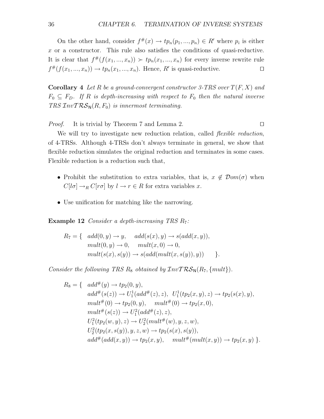On the other hand, consider  $f^{\#}(x) \to tp_n(p_1, ..., p_n) \in R'$  where  $p_i$  is either  $x$  or a constructor. This rule also satisfies the conditions of quasi-reductive. It is clear that  $f^{\#}(f(x_1,...,x_n)) \succ tp_n(x_1,...,x_n)$  for every inverse rewrite rule  $f^{\#}(f(x_1, ..., x_n)) \to tp_n(x_1, ..., x_n)$ . Hence, R' is quasi-reductive.

**Corollary 4** Let R be a ground-convergent constructor 3-TRS over  $T(F, X)$  and  $F_0 \subseteq F_D$ . If R *is depth-increasing with respect to*  $F_0$  *then the natural inverse TRS*  $InvTRS_N(R, F_0)$  *is innermost terminating.* 

*Proof.* It is trivial by Theorem 7 and Lemma 2. □

We will try to investigate new reduction relation, called *flexible reduction*, of 4-TRSs. Although 4-TRSs don't always terminate in general, we show that flexible reduction simulates the original reduction and terminates in some cases. Flexible reduction is a reduction such that,

- Prohibit the substitution to extra variables, that is,  $x \notin \mathcal{D}om(\sigma)$  when  $C[l\sigma] \rightarrow_R C[r\sigma]$  by  $l \rightarrow r \in R$  for extra variables x.
- Use unification for matching like the narrowing.

**Example 12** *Consider a depth-increasing TRS R<sub>7</sub>:* 

$$
R_7 = \{ \quad add(0, y) \rightarrow y, \quad add(s(x), y) \rightarrow s(add(x, y)),
$$
  
\n
$$
mult(0, y) \rightarrow 0, \quad mult(x, 0) \rightarrow 0,
$$
  
\n
$$
mult(s(x), s(y)) \rightarrow s(add(mult(x, s(y)), y)) \}.
$$

*Consider the following TRS*  $R_8$  *obtained by*  $InvTRS_N(R_7, \{mult\})$ *.* 

$$
R_8 = \{ \quad add^{\#}(y) \rightarrow tp_2(0, y), \nadd^{\#}(s(z)) \rightarrow U_1^1(add^{\#}(z), z), \quad U_1^1(tp_2(x, y), z) \rightarrow tp_2(s(x), y), \nmult^{\#}(0) \rightarrow tp_2(0, y), \quad mult^{\#}(0) \rightarrow tp_2(x, 0), \nmult^{\#}(s(z)) \rightarrow U_1^2(add^{\#}(z), z), \nU_1^2(tp_2(w, y), z) \rightarrow U_2^2(mult^{\#}(w), y, z, w), \nU_2^2(tp_2(x, s(y)), y, z, w) \rightarrow tp_2(s(x), s(y)), \nadd^{\#}(add(x, y)) \rightarrow tp_2(x, y), \quad mult^{\#}(mult(x, y)) \rightarrow tp_2(x, y) \}.
$$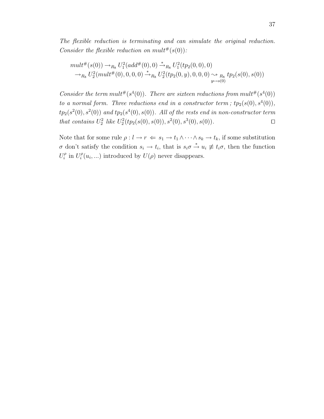*The flexible reduction is terminating and can simulate the original reduction. Consider the flexible reduction on mult*<sup>#</sup> $(s(0))$ :

$$
\begin{aligned}\n & mult^{\#}(s(0)) \rightarrow_{R_{8}} U_{1}^{2}(add^{\#}(0),0) \stackrel{*}{\rightarrow}_{R_{8}} U_{1}^{2}(tp_{2}(0,0),0) \\
 &\rightarrow_{R_{8}} U_{2}^{2}(mult^{\#}(0),0,0,0) \stackrel{*}{\rightarrow}_{R_{8}} U_{2}^{2}(tp_{2}(0,y),0,0,0) \rightsquigarrow_{R_{8}} tp_{2}(s(0),s(0)) \\
 & y \mapsto s(0)\n \end{aligned}
$$

*Consider the term mult*<sup>#</sup> $(s<sup>4</sup>(0))$ *. There are sixteen reductions from mult*<sup>#</sup> $(s<sup>4</sup>(0))$ *to a normal form. Three reductions end in a constructor term;*  $tp_2(s(0), s^4(0))$ *,*  $tp_2(s^2(0), s^2(0))$  and  $tp_2(s^4(0), s(0))$ *. All of the rests end in non-constructor term that contains*  $U_2^2$  *like*  $U_2^2(tp_2(s(0), s(0)), s^2(0), s^3(0), s(0))$ *.*  $\square$ 

Note that for some rule  $\rho: l \to r \iff s_1 \to t_1 \land \cdots \land s_k \to t_k$ , if some substitution  $\sigma$  don't satisfy the condition  $s_i \to t_i$ , that is  $s_i \sigma \stackrel{*}{\to} u_i \not\equiv t_i \sigma$ , then the function  $U_i^{\rho}$  in  $U_i^{\rho}(u_i,...)$  introduced by  $U(\rho)$  never disappears.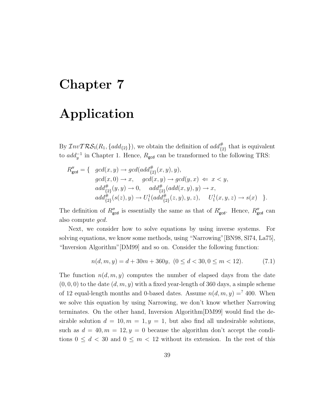### **Chapter 7**

### **Application**

By  $\mathcal{I}nvT\mathcal{RS}_1(R_1, \{add_{\{2\}}\})$ , we obtain the definition of  $add_{\{2\}}^{\#}$  that is equivalent to  $add_{y}^{-1}$  in Chapter 1. Hence,  $R_{\text{gcd}}$  can be transformed to the following TRS:

$$
R''_{\text{gcd}} = \{ \quad \gcd(x, y) \to \gcd(\text{add}_{\{2\}}^{\#}(x, y), y), \n\quad \gcd(x, 0) \to x, \quad \gcd(x, y) \to \gcd(y, x) \iff x < y, \n\quad \text{add}_{\{2\}}^{\#}(y, y) \to 0, \quad \text{add}_{\{2\}}^{\#}(\text{add}(x, y), y) \to x, \n\quad \text{add}_{\{2\}}^{\#}(s(z), y) \to U_1^1(\text{add}_{\{2\}}^{\#}(z, y), y, z), \quad U_1^1(x, y, z) \to s(x) \quad \}.
$$

The definition of  $R''_{\text{gcd}}$  is essentially the same as that of  $R'_{\text{gcd}}$ . Hence,  $R''_{\text{gcd}}$  can also compute gcd.

Next, we consider how to solve equations by using inverse systems. For solving equations, we know some methods, using "Narrowing"[BN98, Sl74, La75], "Inversion Algorithm"[DM99] and so on. Consider the following function:

$$
n(d, m, y) = d + 30m + 360y, \ (0 \le d < 30, 0 \le m < 12). \tag{7.1}
$$

The function  $n(d, m, y)$  computes the number of elapsed days from the date  $(0, 0, 0)$  to the date  $(d, m, y)$  with a fixed year-length of 360 days, a simple scheme of 12 equal-length months and 0-based dates. Assume  $n(d, m, y) =$  400. When we solve this equation by using Narrowing, we don't know whether Narrowing terminates. On the other hand, Inversion Algorithm[DM99] would find the desirable solution  $d = 10, m = 1, y = 1$ , but also find all undesirable solutions, such as  $d = 40, m = 12, y = 0$  because the algorithm don't accept the conditions  $0 \leq d < 30$  and  $0 \leq m < 12$  without its extension. In the rest of this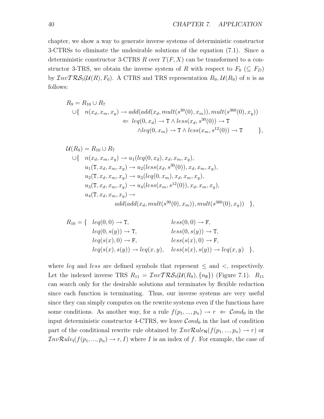chapter, we show a way to generate inverse systems of deterministic constructor 3-CTRSs to eliminate the undesirable solutions of the equation (7.1). Since a deterministic constructor 3-CTRS R over  $T(F, X)$  can be transformed to a constructor 3-TRS, we obtain the inverse system of R with respect to  $F_0$  ( $\subseteq F_D$ ) by  $\mathcal{I}nvT\mathcal{RS}_1(\mathcal{U}(R), F_0)$ . A CTRS and TRS representation  $R_9$ ,  $\mathcal{U}(R_9)$  of n is as follows:

$$
R_9 = R_{10} \cup R_7
$$
  
\n
$$
\cup \{ n(x_d, x_m, x_y) \rightarrow add(add(x_d, mult(s^{30}(0), x_m)), mult(s^{360}(0), x_y))
$$
  
\n
$$
\Leftarrow leg(0, x_d) \rightarrow T \land less(x_d, s^{30}(0)) \rightarrow T
$$
  
\n
$$
\land leg(0, x_m) \rightarrow T \land less(x_m, s^{12}(0)) \rightarrow T
$$
 },

$$
\mathcal{U}(R_9) = R_{10} \cup R_7
$$
  
\n
$$
\cup \{ n(x_d, x_m, x_y) \rightarrow u_1(leg(0, x_d), x_d, x_m, x_y),
$$
  
\n
$$
u_1(T, x_d, x_m, x_y) \rightarrow u_2(less(x_d, s^{30}(0)), x_d, x_m, x_y),
$$
  
\n
$$
u_2(T, x_d, x_m, x_y) \rightarrow u_3(leg(0, x_m), x_d, x_m, x_y),
$$
  
\n
$$
u_3(T, x_d, x_m, x_y) \rightarrow u_4(less(x_m, s^{12}(0)), x_d, x_m, x_y),
$$
  
\n
$$
u_4(T, x_d, x_m, x_y) \rightarrow
$$
  
\n
$$
add(add(x_d, mult(s^{30}(0), x_m)), mult(s^{360}(0), x_y)) )
$$

$$
R_{10} = \{ \begin{array}{ll} leq(0,0) \rightarrow \text{T}, & less(0,0) \rightarrow \text{F}, \\ leq(0,s(y)) \rightarrow \text{T}, & less(0,s(y)) \rightarrow \text{T}, \\ leq(s(x),0) \rightarrow \text{F}, & less(s(x),0) \rightarrow \text{F}, \\ leq(s(x),s(y)) \rightarrow leq(x,y), & less(s(x),s(y)) \rightarrow leq(x,y) \end{array} \},
$$

where *leq* and *less* are defined symbols that represent  $\leq$  and  $\lt$ , respectively. Let the indexed inverse TRS  $R_{11} = \mathcal{I}nvT\mathcal{RS}_1(\mathcal{U}(R_9), \{n_\emptyset\})$  (Figure 7.1).  $R_{11}$ can search only for the desirable solutions and terminates by flexible reduction since each function is terminating. Thus, our inverse systems are very useful since they can simply computes on the rewrite systems even if the functions have some conditions. As another way, for a rule  $f(p_1, ..., p_n) \to r \Leftarrow \text{Cond}_0$  in the input deterministic constructor 4-CTRS, we leave  $Cond_0$  in the last of condition part of the conditional rewrite rule obtained by  $\mathcal{I}nv\mathcal{R}ule_{\mathsf{N}}(f(p_1, ..., p_n) \to r)$  or  $InvRule_1(f(p_1, ..., p_n) \to r, I)$  where I is an index of f. For example, the case of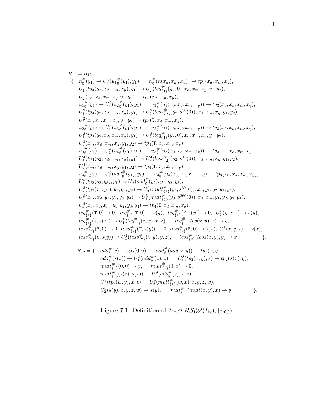$$
R_{11} = R_{12} \cup
$$
\n
$$
\begin{aligned}\n&\{\n\begin{aligned}\nn_0^{\#}(y_1) \rightarrow U_1^1(u_1{}_{0}^{*}(y_1), y_1), \n\begin{aligned}\nn_0^{\#}(n(x_d, x_m, x_y)) \rightarrow tp_3(x_d, x_m, x_y), \\
U_1^1(tp_4(y_2, x_d, x_m, x_y), y_1) \rightarrow U_2^1(leq_{(11)}^{\#}(y_2, 0), x_d, x_m, x_y, y_1, y_2), \\
U_2^1(x_d, x_d, x_m, x_y, y_1, y_2) \rightarrow tp_3(x_d, x_m, x_y), \\
u_1{}_{0}^{*}(y_1) \rightarrow U_1^2(u_2{}_{0}^{*}(y_1), y_1), \n\begin{aligned}\nu_1{}_{0}^{*}(u_1(x_0, x_d, x_m, x_y)) \rightarrow tp_3(x_0, x_d, x_m, x_y), \\
U_1^2(tp_4(y_2, x_d, x_m, x_y), y_1) \rightarrow U_2^2(less_{(11)}^{\#}(y_2, s^{30}(0)), x_d, x_m, x_y, y_1, y_2), \\
U_2^2(x_d, x_d, x_m, x_y, y_1, y_2) \rightarrow tp_4(T, x_d, x_m, x_y), \\
u_2{}_{0}^{*}(y_1) \rightarrow U_1^3(u_3{}_{0}^{*}(y_1), y_1), \n\begin{aligned}\nu_2{}_{0}^{*}(u_2(x_0, x_d, x_m, x_y), y_1, y_2), \\
U_2^3(x_m, x_d, x_m, x_y, y_1, y_2) \rightarrow tp_4(T, x_d, x_m, x_y), \\
U_2^4(t_1(y_2, x_d, x_m, x_y), y_1) \rightarrow U_2^3(leq_{(11)}^{\#}(y_2, 0), x_d, x_m, x_y, y_1, y_2), \\
U_2^4(x_m, x_d, x_m, x_y, y_1, y_2) \rightarrow tp_4(T, x_d, x_m, x_y), \\
U_2^4(x_m, x_d, x_m, x_y, y_1, y_2) \rightarrow tp_4(T, x_d, x_m, x_y), \\
U_2^4(x_m, x_d, x_m, x_y, y_1, y_2) \rightarrow tp_4(T, x_d, x_m, x_y), \\
U_2^4(x_m, x_d, x_m,
$$

$$
R_{12} = \{ \quad ad_{\emptyset}^{d}(y) \to tp_2(0, y), \quad add_{\emptyset}^{d}(add(x, y)) \to tp_2(x, y),add_{\emptyset}^{\#}(s(z)) \to U_1^8(add_{\emptyset}^{\#}(z), z), \quad U_1^8(tp_2(x, y), z) \to tp_2(s(x), y),mult_{\{1\}}^{\#}(0, 0) \to y, \quad mult_{\{1\}}^{\#}(0, x) \to 0,mult_{\{1\}}^{\#}(s(z), s(x)) \to U_1^9(add_{\emptyset}^{\#}(z), x, z),U_1^9(tp_2(w, y), x, z) \to U_2^9(mult_{\{1\}}^{\#}(w, x), x, y, z, w),U_2^9(s(y), x, y, z, w) \to s(y), \quad mult_{\{1\}}^{\#}(mult(x, y), x) \to y
$$
 \}

Figure 7.1: Definition of  $\mathcal{I}nv\mathcal{TRS}_1(\mathcal{U}(R_9), \{n_\emptyset\}).$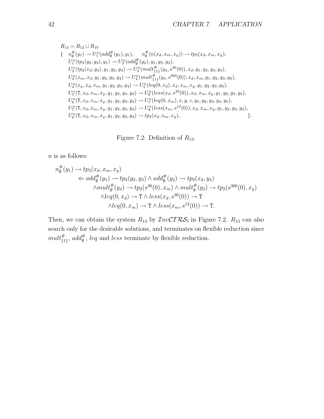$$
R_{13} = R_{12} \cup R_{10}
$$
  
\n
$$
\{ n_{\emptyset}^{\#}(y_1) \rightarrow U_1^n(add_{\emptyset}^{\#}(y_1), y_1), n_{\emptyset}^{\#}(n(x_d, x_m, x_y)) \rightarrow tp_3(x_d, x_m, x_y),
$$
  
\n
$$
U_1^n(tp_2(y_2, y_3), y_1) \rightarrow U_2^n(add_{\emptyset}^{\#}(y_2), y_1, y_2, y_3),
$$
  
\n
$$
U_2^n(tp_2(x_d, y_4), y_1, y_2, y_3) \rightarrow U_3^n(mult_{\{1\}}^{\#}(y_4, s^{30}(0)), x_d, y_1, y_2, y_3, y_4),
$$
  
\n
$$
U_3^n(x_m, x_d, y_1, y_2, y_3, y_4) \rightarrow U_4^n(mult_{\{1\}}^{\#}(y_3, s^{360}(0)), x_d, x_m, y_1, y_2, y_3, y_4),
$$
  
\n
$$
U_4^n(x_y, x_d, x_m, y_1, y_2, y_3, y_4) \rightarrow U_5^n(leq(0, x_d), x_d, x_m, x_y, y_1, y_2, y_3, y_4),
$$
  
\n
$$
U_5^n(T, x_d, x_m, x_y, y_1, y_2, y_3, y_4) \rightarrow U_6^n(less(x_d, s^{30}(0)), x_d, x_m, x_y, y_1, y_2, y_3, y_4),
$$
  
\n
$$
U_6^n(T, x_d, x_m, x_y, y_1, y_2, y_3, y_4) \rightarrow U_7^n(leq(0, x_m), x, y, z, y_1, y_2, y_3, y_4, y_5),
$$
  
\n
$$
U_7^n(T, x_d, x_m, x_y, y_1, y_2, y_3, y_4) \rightarrow U_8^n(less(x_m, s^{12}(0)), x_d, x_m, x_y, y_1, y_2, y_3, y_4),
$$
  
\n
$$
U_8^n(T, x_d, x_m, x_y, y_1, y_2, y_3, y_4) \rightarrow tp_3(x_d, x_m, x_y),
$$
  
\n
$$
\}.
$$

Figure 7.2: Definition of  $R_{13}$ .

 $n$  is as follows:

$$
n_{\emptyset}^{\#}(y_1) \rightarrow tp_3(x_d, x_m, x_y)
$$
  
\n
$$
\Leftarrow add_{\emptyset}^{\#}(y_1) \rightarrow tp_2(y_2, y_3) \land add_{\emptyset}^{\#}(y_2) \rightarrow tp_2(x_d, y_4)
$$
  
\n
$$
\land mult_{\emptyset}^{\#}(y_4) \rightarrow tp_2(s^{30}(0), x_m) \land mult_{\emptyset}^{\#}(y_3) \rightarrow tp_2(s^{360}(0), x_y)
$$
  
\n
$$
\land leg(0, x_d) \rightarrow \text{T} \land less(x_d, s^{30}(0)) \rightarrow \text{T}
$$
  
\n
$$
\land leg(0, x_m) \rightarrow \text{T} \land less(x_m, s^{12}(0)) \rightarrow \text{T}.
$$

Then, we can obtain the system  $R_{13}$  by  $\mathcal{I}nv\mathcal{C}T\mathcal{RS}_1$  in Figure 7.2.  $R_{13}$  can also search only for the desirable solutions, and terminates on flexible reduction since  $mult_{\{1\}}^{\#}, add_{\emptyset}^{\#}, leq \text{ and } less \text{ terminate by flexible reduction.}$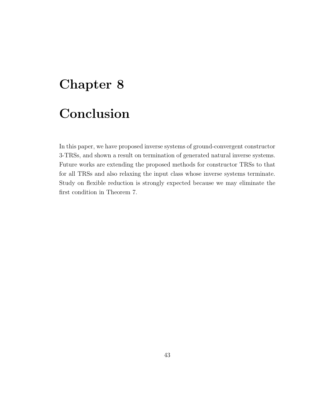### **Chapter 8**

## **Conclusion**

In this paper, we have proposed inverse systems of ground-convergent constructor 3-TRSs, and shown a result on termination of generated natural inverse systems. Future works are extending the proposed methods for constructor TRSs to that for all TRSs and also relaxing the input class whose inverse systems terminate. Study on flexible reduction is strongly expected because we may eliminate the first condition in Theorem 7.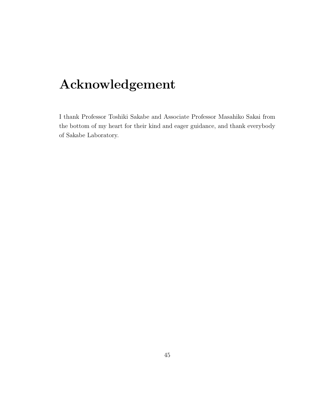## **Acknowledgement**

I thank Professor Toshiki Sakabe and Associate Professor Masahiko Sakai from the bottom of my heart for their kind and eager guidance, and thank everybody of Sakabe Laboratory.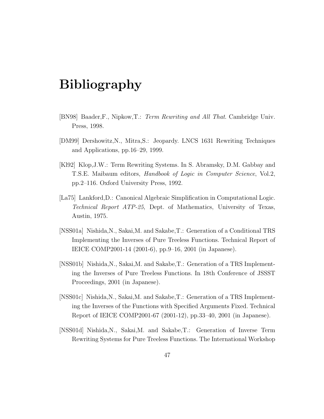### **Bibliography**

- [BN98] Baader,F., Nipkow,T.: *Term Rewriting and All That*. Cambridge Univ. Press, 1998.
- [DM99] Dershowitz,N., Mitra,S.: Jeopardy. LNCS 1631 Rewriting Techniques and Applications, pp.16–29, 1999.
- [Kl92] Klop,J.W.: Term Rewriting Systems. In S. Abramsky, D.M. Gabbay and T.S.E. Maibaum editors, *Handbook of Logic in Computer Science*, Vol.2, pp.2–116. Oxford University Press, 1992.
- [La75] Lankford,D.: Canonical Algebraic Simplification in Computational Logic. *Technical Report ATP-25*, Dept. of Mathematics, University of Texas, Austin, 1975.
- [NSS01a] Nishida,N., Sakai,M. and Sakabe,T.: Generation of a Conditional TRS Implementing the Inverses of Pure Treeless Functions. Technical Report of IEICE COMP2001-14 (2001-6), pp.9–16, 2001 (in Japanese).
- [NSS01b] Nishida,N., Sakai,M. and Sakabe,T.: Generation of a TRS Implementing the Inverses of Pure Treeless Functions. In 18th Conference of JSSST Proceedings, 2001 (in Japanese).
- [NSS01c] Nishida,N., Sakai,M. and Sakabe,T.: Generation of a TRS Implementing the Inverses of the Functions with Specified Arguments Fixed. Technical Report of IEICE COMP2001-67 (2001-12), pp.33–40, 2001 (in Japanese).
- [NSS01d] Nishida,N., Sakai,M. and Sakabe,T.: Generation of Inverse Term Rewriting Systems for Pure Treeless Functions. The International Workshop